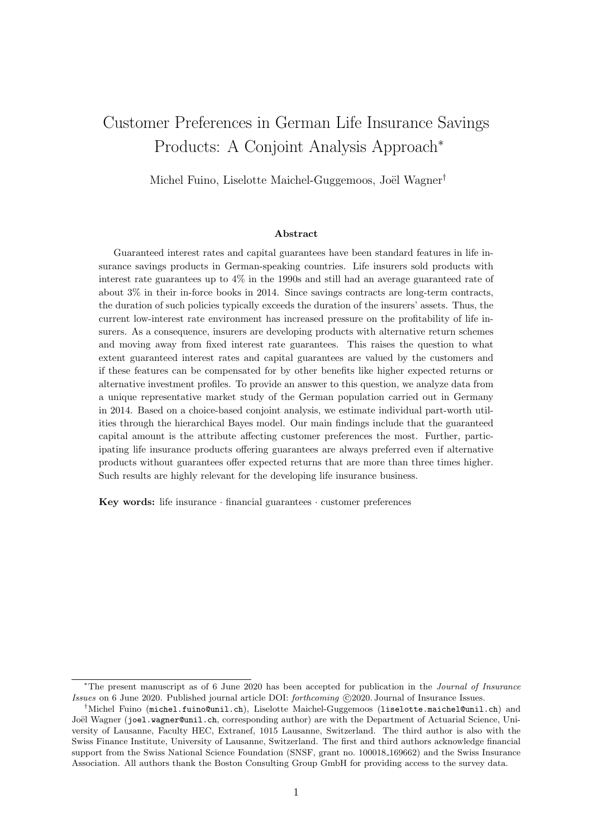# Customer Preferences in German Life Insurance Savings Products: A Conjoint Analysis Approach<sup>∗</sup>

Michel Fuino, Liselotte Maichel-Guggemoos, Joël Wagner<sup>†</sup>

#### Abstract

Guaranteed interest rates and capital guarantees have been standard features in life insurance savings products in German-speaking countries. Life insurers sold products with interest rate guarantees up to 4% in the 1990s and still had an average guaranteed rate of about 3% in their in-force books in 2014. Since savings contracts are long-term contracts, the duration of such policies typically exceeds the duration of the insurers' assets. Thus, the current low-interest rate environment has increased pressure on the profitability of life insurers. As a consequence, insurers are developing products with alternative return schemes and moving away from fixed interest rate guarantees. This raises the question to what extent guaranteed interest rates and capital guarantees are valued by the customers and if these features can be compensated for by other benefits like higher expected returns or alternative investment profiles. To provide an answer to this question, we analyze data from a unique representative market study of the German population carried out in Germany in 2014. Based on a choice-based conjoint analysis, we estimate individual part-worth utilities through the hierarchical Bayes model. Our main findings include that the guaranteed capital amount is the attribute affecting customer preferences the most. Further, participating life insurance products offering guarantees are always preferred even if alternative products without guarantees offer expected returns that are more than three times higher. Such results are highly relevant for the developing life insurance business.

Key words: life insurance  $\cdot$  financial guarantees  $\cdot$  customer preferences

<sup>∗</sup>The present manuscript as of 6 June 2020 has been accepted for publication in the Journal of Insurance Issues on 6 June 2020. Published journal article DOI: forthcoming C2020. Journal of Insurance Issues.

<sup>†</sup>Michel Fuino (michel.fuino@unil.ch), Liselotte Maichel-Guggemoos (liselotte.maichel@unil.ch) and Joël Wagner (joel.wagner@unil.ch, corresponding author) are with the Department of Actuarial Science, University of Lausanne, Faculty HEC, Extranef, 1015 Lausanne, Switzerland. The third author is also with the Swiss Finance Institute, University of Lausanne, Switzerland. The first and third authors acknowledge financial support from the Swiss National Science Foundation (SNSF, grant no. 100018.169662) and the Swiss Insurance Association. All authors thank the Boston Consulting Group GmbH for providing access to the survey data.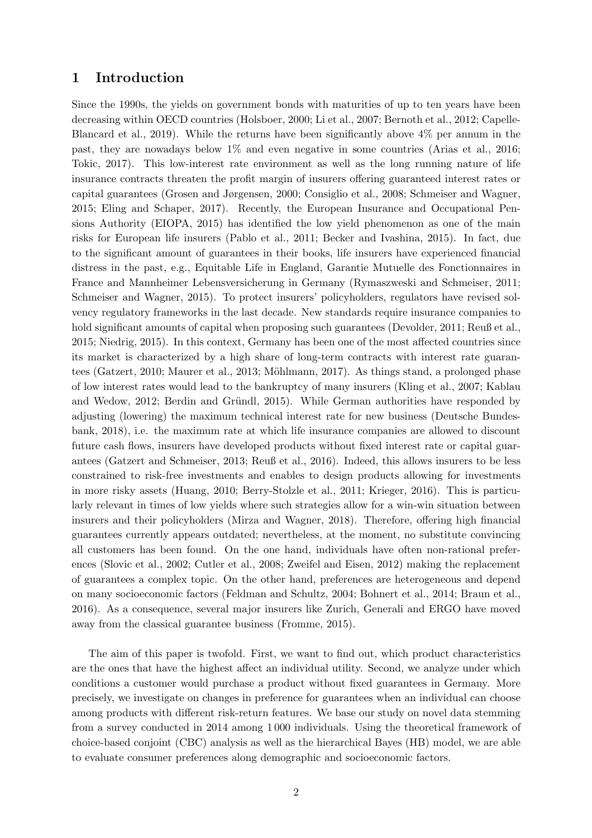# 1 Introduction

Since the 1990s, the yields on government bonds with maturities of up to ten years have been decreasing wit[hin OECD countries](#page-24-1) [\(Holsboer](#page-26-0)[,](#page-24-1) [2000](#page-26-0)[;](#page-24-1) [Li et al.](#page-27-0)[,](#page-24-1) [2007](#page-27-0)[;](#page-24-1) [Bernoth et al.](#page-24-0)[,](#page-24-1) [2012](#page-24-0)[;](#page-24-1) Capelle-Blancard et al., [2019\)](#page-24-1). While the returns have been significantly above 4% per annum in the past, they are nowadays below 1% and even negative in some countries [\(Arias et al., 2016](#page-24-2); [Tokic](#page-28-0), [2017\)](#page-28-0). This low-interest rate environment as well as the long running nature of life insurance contracts threaten the profit margin of insurers offering guaranteed interest rates or capital guarantees [\(Grosen and Jørgensen](#page-26-1), [2000](#page-26-1); [Consiglio](#page-25-0) et al., [2008;](#page-25-0) [Schmeiser and Wagner](#page-28-1), [2015;](#page-28-1) [Eling and Schaper, 2017\)](#page-25-1). Recently, the European Insurance and Occupational Pensions Authority (EIOPA, [2015\)](#page-25-2) has identified the low yield phenomenon as one of the main risks for European life insurers [\(Pablo et al., 2011;](#page-27-1) Becker [and Ivashina](#page-24-3), [2015](#page-24-3)). In fact, due to the significant amount of guarantees in their books, life insurers have experienced financial distress in the past, e.g., Equitable Life in England, Garantie Mutuelle des Fonctionnaires in France and Mannheimer Lebensversicherung in Germany [\(Rymaszweski and Schmeiser](#page-28-2), [2011](#page-28-2); [Schmeiser and Wagner](#page-28-1), [2015](#page-28-1)). To protect insurers' policyholders, regulators have revised solvency regulatory frameworks in the last decade. New standards require insurance companies to hold significant amounts of capital when proposing such guarantees [\(Devolder](#page-25-3), [2011;](#page-25-3) [Reuß et al.](#page-28-3), [2015;](#page-28-3) [Niedrig, 2015](#page-27-2)). In this context, Germany has been one of the most affected countries since its market is characterized by a high share of long-term contracts with interest rate guaran-tees [\(Gatzert](#page-26-2), [2010](#page-26-2); [Maurer et al., 2013](#page-27-3); Möhlmann, 2017). As things stand, a prolonged phase of low inter[est rates would lead to the bankruptcy of many insurers](#page-27-6) [\(Kling et al.](#page-27-5)[,](#page-27-6) [2007](#page-27-5)[;](#page-27-6) Kablau and Wedow, [2012;](#page-27-6) Berdin and Gründl, 2015). While German authorities have responded by adju[sting \(lowering\) the maximum technical interest rate for new business \(](#page-25-4)Deutsche Bundesbank, [2018](#page-25-4)), i.e. the maximum rate at which life insurance companies are allowed to discount future cash flows, insurers have developed products without fixed interest rate or capital guarantees [\(Gatzert and Schmeiser, 2013](#page-26-3); [Reuß et al.](#page-28-4), [2016\)](#page-28-4). Indeed, this allows insurers to be less constrained to risk-free investments and enables to design products allowing for investments in more risky assets [\(Huang](#page-26-4), [2010](#page-26-4); [Berry-Stolzle et al., 2011;](#page-24-5) [Krieger](#page-27-7), [2016](#page-27-7)). This is particularly relevant in times of low yields where such strategies allow for a win-win situation between insurers and their policyholders [\(Mirza and Wagner, 2018\)](#page-27-8). Therefore, offering high financial guarantees currently appears outdated; nevertheless, at the moment, no substitute convincing all customers has been found. On the one hand, individuals have often non-rational preferences [\(Slovic et al.](#page-28-5), [2002;](#page-28-5) [Cutler et al., 2008](#page-25-5); [Zweifel and Eisen](#page-28-6), [2012\)](#page-28-6) making the replacement of guarantees a complex topic. On the other hand, preferences are heterogeneous and depend on many socioeconomic factors [\(Feldman and Schultz, 2004](#page-26-5); [Bohnert et al.](#page-24-6), [2014;](#page-24-6) [Braun et al.](#page-24-7), [2016\)](#page-24-7). As a consequence, several major insurers like Zurich, Generali and ERGO have moved away from the classical guarantee business [\(Fromme, 2015](#page-26-6)).

The aim of this paper is twofold. First, we want to find out, which product characteristics are the ones that have the highest affect an individual utility. Second, we analyze under which conditions a customer would purchase a product without fixed guarantees in Germany. More precisely, we investigate on changes in preference for guarantees when an individual can choose among products with different risk-return features. We base our study on novel data stemming from a survey conducted in 2014 among 1 000 individuals. Using the theoretical framework of choice-based conjoint (CBC) analysis as well as the hierarchical Bayes (HB) model, we are able to evaluate consumer preferences along demographic and socioeconomic factors.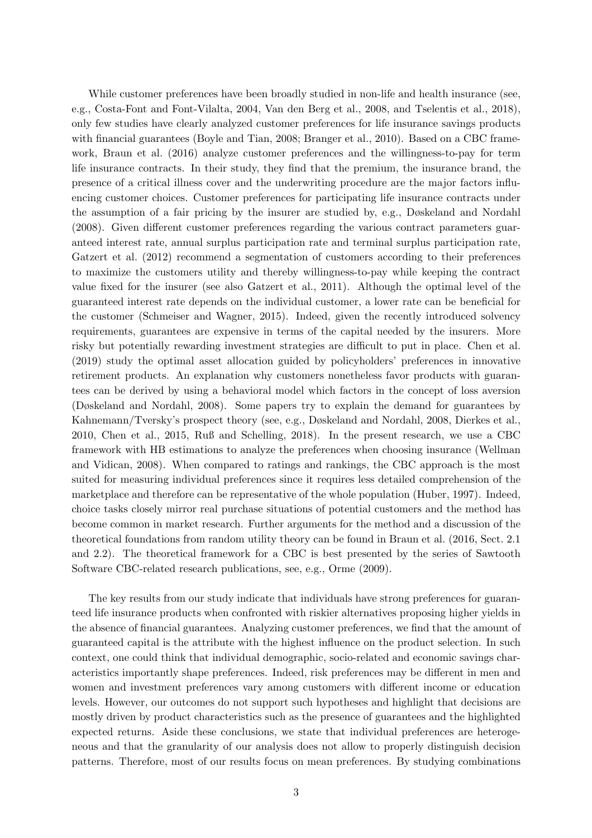While customer preferences have been broadly studied in non-life and health insurance (see, e.g., [Costa-Font and Font-Vilalta, 2004](#page-25-6), [Van den Berg et al.](#page-28-7), [2008,](#page-28-7) and [Tselentis et al.](#page-28-8), [2018\)](#page-28-8), only few studies have clearly analyzed customer preferences for life insurance savings products with financial guarantees [\(Boyle and Tian, 2008](#page-24-8); [Branger et al., 2010\)](#page-24-9). Based on a CBC framework, [Braun et al. \(2016\)](#page-24-7) analyze customer preferences and the willingness-to-pay for term life insurance contracts. In their study, they find that the premium, the insurance brand, the presence of a critical illness cover and the underwriting procedure are the major factors influencing customer choices. Customer preferences for participating life insurance contracts under the assumption of a fair pricing by the insurer are studied by, e.g., [Døskeland and Nordahl](#page-25-7) [\(2008](#page-25-7)). Given different customer preferences regarding the various contract parameters guaranteed interest rate, annual surplus participation rate and terminal surplus participation rate, [Gatzert et al. \(2012\)](#page-26-7) recommend a segmentation of customers according to their preferences to maximize the customers utility and thereby willingness-to-pay while keeping the contract value fixed for the insurer (see also [Gatzert et al., 2011](#page-26-8)). Although the optimal level of the guaranteed interest rate depends on the individual customer, a lower rate can be beneficial for the customer [\(Schmeiser and Wagner](#page-28-1), [2015\)](#page-28-1). Indeed, given the recently introduced solvency requirements, guarantees are expensive in terms of the capital needed by the insurers. More risky but potentially rewarding investment strategies are difficult to put in place. [Chen et al.](#page-25-8) [\(2019](#page-25-8)) study the optimal asset allocation guided by policyholders' preferences in innovative retirement products. An explanation why customers nonetheless favor products with guarantees can be derived by using a behavioral model which factors in the concept of loss aversion [\(Døskeland and Nordahl](#page-25-7), [2008\)](#page-25-7). Some papers try to explain the demand for guarantees by Kahnemann/Tversky's prospect theory (see, e.g., [Døskeland and Nordahl](#page-25-7), [2008,](#page-25-7) [Dierkes et al.](#page-25-9), [2010,](#page-25-9) [Chen et al.](#page-24-10), [2015](#page-24-10), [Ruß and Schelling, 2018\)](#page-28-9). In the present research, we use a CBC framework [with HB estimations to analyze the preferences when choosing insurance \(](#page-28-10)Wellman and Vidican, [2008](#page-28-10)). When compared to ratings and rankings, the CBC approach is the most suited for measuring individual preferences since it requires less detailed comprehension of the marketplace and therefore can be representative of the whole population [\(Huber, 1997\)](#page-27-9). Indeed, choice tasks closely mirror real purchase situations of potential customers and the method has become common in market research. Further arguments for the method and a discussion of the theoretical foundations from random utility theory can be found in [Braun et al. \(2016,](#page-24-7) Sect. 2.1 and 2.2). The theoretical framework for a CBC is best presented by the series of Sawtooth Software CBC-related research publications, see, e.g., [Orme \(2009\)](#page-27-10).

The key results from our study indicate that individuals have strong preferences for guaranteed life insurance products when confronted with riskier alternatives proposing higher yields in the absence of financial guarantees. Analyzing customer preferences, we find that the amount of guaranteed capital is the attribute with the highest influence on the product selection. In such context, one could think that individual demographic, socio-related and economic savings characteristics importantly shape preferences. Indeed, risk preferences may be different in men and women and investment preferences vary among customers with different income or education levels. However, our outcomes do not support such hypotheses and highlight that decisions are mostly driven by product characteristics such as the presence of guarantees and the highlighted expected returns. Aside these conclusions, we state that individual preferences are heterogeneous and that the granularity of our analysis does not allow to properly distinguish decision patterns. Therefore, most of our results focus on mean preferences. By studying combinations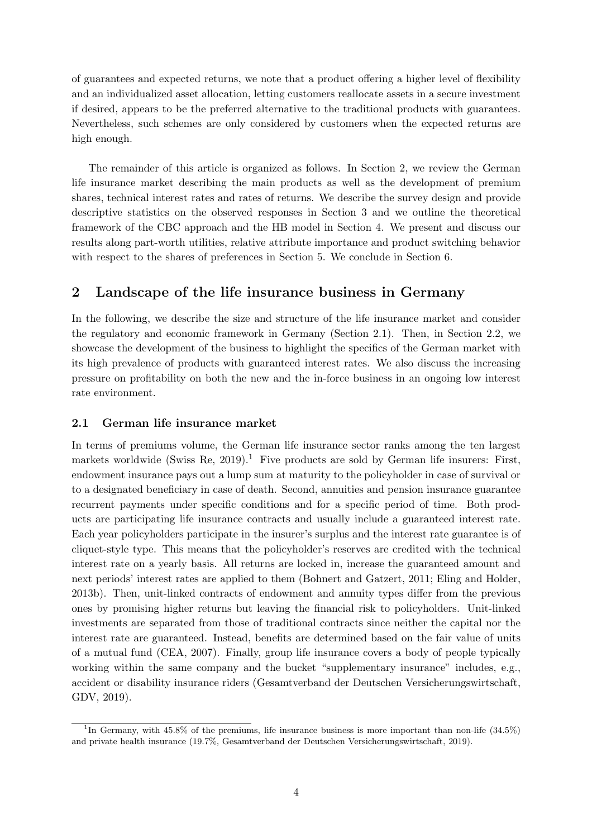of guarantees and expected returns, we note that a product offering a higher level of flexibility and an individualized asset allocation, letting customers reallocate assets in a secure investment if desired, appears to be the preferred alternative to the traditional products with guarantees. Nevertheless, such schemes are only considered by customers when the expected returns are high enough.

The remainder of this article is organized as follows. In Section [2,](#page-3-0) we review the German life insurance market describing the main products as well as the development of premium shares, technical interest rates and rates of returns. We describe the survey design and provide descriptive statistics on the observed responses in Section [3](#page-7-0) and we outline the theoretical framework of the CBC approach and the HB model in Section [4.](#page-10-0) We present and discuss our results along part-worth utilities, relative attribute importance and product switching behavior with respect to the shares of preferences in Section [5.](#page-12-0) We conclude in Section [6.](#page-20-0)

# <span id="page-3-0"></span>2 Landscape of the life insurance business in Germany

In the following, we describe the size and structure of the life insurance market and consider the regulatory and economic framework in Germany (Section [2.1\)](#page-3-1). Then, in Section [2.2,](#page-4-0) we showcase the development of the business to highlight the specifics of the German market with its high prevalence of products with guaranteed interest rates. We also discuss the increasing pressure on profitability on both the new and the in-force business in an ongoing low interest rate environment.

#### <span id="page-3-1"></span>2.1 German life insurance market

In terms of premiums volume, the German life insurance sector ranks among the ten largest markets worldwide [\(Swiss Re](#page-28-11), [2019\)](#page-28-11).<sup>[1](#page-3-2)</sup> Five products are sold by German life insurers: First, endowment insurance pays out a lump sum at maturity to the policyholder in case of survival or to a designated beneficiary in case of death. Second, annuities and pension insurance guarantee recurrent payments under specific conditions and for a specific period of time. Both products are participating life insurance contracts and usually include a guaranteed interest rate. Each year policyholders participate in the insurer's surplus and the interest rate guarantee is of cliquet-style type. This means that the policyholder's reserves are credited with the technical interest rate on a yearly basis. All returns are locked in, increase the guaranteed amount and next periods' interest rates are applied to them [\(Bohnert and Gatzert](#page-24-11), [2011](#page-24-11); [Eling and Holder](#page-25-10), [2013b\)](#page-25-10). Then, unit-linked contracts of endowment and annuity types differ from the previous ones by promising higher returns but leaving the financial risk to policyholders. Unit-linked investments are separated from those of traditional contracts since neither the capital nor the interest rate are guaranteed. Instead, benefits are determined based on the fair value of units of a mutual fund [\(CEA, 2007\)](#page-24-12). Finally, group life insurance covers a body of people typically working within the same company and the bucket "supplementary insurance" includes, e.g., accident or disability insurance riders [\(Gesamtverband der Deutschen Versicherungswirtschaft](#page-26-9), GDV, [2019](#page-26-9)).

<span id="page-3-2"></span><sup>&</sup>lt;sup>1</sup>In Germany, with  $45.8\%$  of the premiums, life insurance business is more important than non-life  $(34.5\%)$ and private health insurance (19.7%, [Gesamtverband der Deutschen Versicherungswirtschaft](#page-26-9), [2019](#page-26-9)).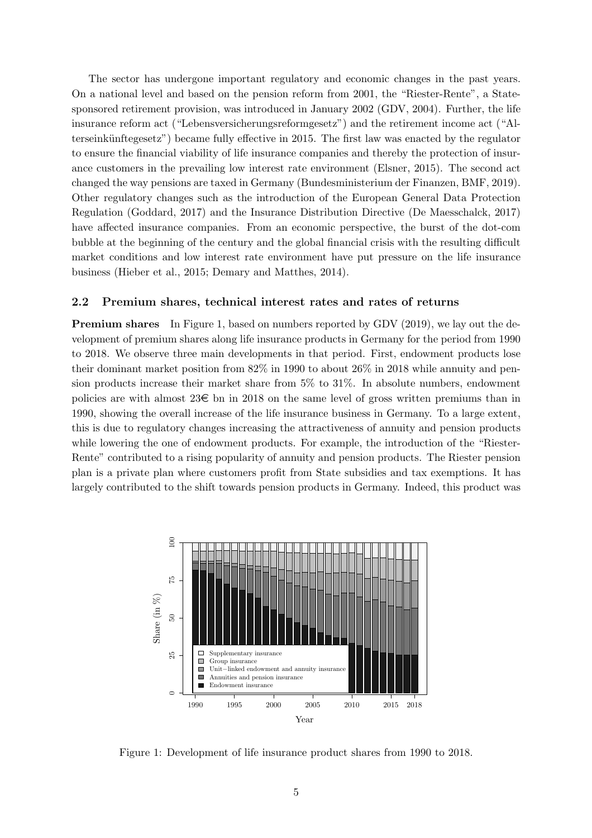The sector has undergone important regulatory and economic changes in the past years. On a national level and based on the pension reform from 2001, the "Riester-Rente", a Statesponsored retirement provision, was introduced in January 2002 (GDV, [2004](#page-26-10)). Further, the life insurance reform act ("Lebensversicherungsreformgesetz") and the retirement income act ("Alterseinkünftegesetz") became fully effective in 2015. The first law was enacted by the regulator to ensure the financial viability of life insurance companies and thereby the protection of insurance customers in the prevailing low interest rate environment [\(Elsner](#page-25-11), [2015](#page-25-11)). The second act changed the way pensions are taxed in Germany [\(Bundesministerium der Finanzen](#page-24-13), BMF, [2019\)](#page-24-13). Other regulatory changes such as the introduction of the European General Data Protection Regulation [\(Goddard](#page-26-11), [2017\)](#page-26-11) and the Insurance Distribution Directive [\(De Maesschalck](#page-25-12), [2017](#page-25-12)) have affected insurance companies. From an economic perspective, the burst of the dot-com bubble at the beginning of the century and the global financial crisis with the resulting difficult market conditions and low interest rate environment have put pressure on the life insurance business [\(Hieber et al.](#page-26-12), [2015;](#page-26-12) [Demary and Matthes](#page-25-13), [2014\)](#page-25-13).

#### <span id="page-4-0"></span>2.2 Premium shares, technical interest rates and rates of returns

**Premium shares** In Figure [1,](#page-4-1) based on numbers reported by GDV [\(2019\)](#page-26-9), we lay out the development of premium shares along life insurance products in Germany for the period from 1990 to 2018. We observe three main developments in that period. First, endowment products lose their dominant market position from 82% in 1990 to about 26% in 2018 while annuity and pension products increase their market share from 5% to 31%. In absolute numbers, endowment policies are with almost  $23\epsilon$  bn in 2018 on the same level of gross written premiums than in 1990, showing the overall increase of the life insurance business in Germany. To a large extent, this is due to regulatory changes increasing the attractiveness of annuity and pension products while lowering the one of endowment products. For example, the introduction of the "Riester-Rente" contributed to a rising popularity of annuity and pension products. The Riester pension plan is a private plan where customers profit from State subsidies and tax exemptions. It has largely contributed to the shift towards pension products in Germany. Indeed, this product was

<span id="page-4-1"></span>

Figure 1: Development of life insurance product shares from 1990 to 2018.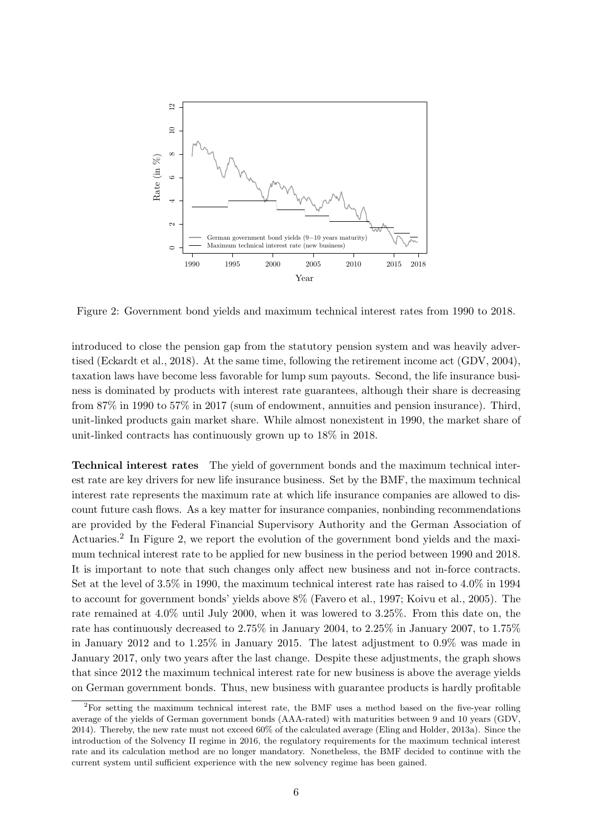<span id="page-5-1"></span>

Figure 2: Government bond yields and maximum technical interest rates from 1990 to 2018.

introduced to close the pension gap from the statutory pension system and was heavily advertised [\(Eckardt et al., 2018](#page-25-14)). At the same time, following the retirement income act (GDV, [2004\)](#page-26-10), taxation laws have become less favorable for lump sum payouts. Second, the life insurance business is dominated by products with interest rate guarantees, although their share is decreasing from 87% in 1990 to 57% in 2017 (sum of endowment, annuities and pension insurance). Third, unit-linked products gain market share. While almost nonexistent in 1990, the market share of unit-linked contracts has continuously grown up to 18% in 2018.

Technical interest rates The yield of government bonds and the maximum technical interest rate are key drivers for new life insurance business. Set by the BMF, the maximum technical interest rate represents the maximum rate at which life insurance companies are allowed to discount future cash flows. As a key matter for insurance companies, nonbinding recommendations are provided by the Federal Financial Supervisory Authority and the German Association of Actuaries.<sup>[2](#page-5-0)</sup> In Figure [2,](#page-5-1) we report the evolution of the government bond yields and the maximum technical interest rate to be applied for new business in the period between 1990 and 2018. It is important to note that such changes only affect new business and not in-force contracts. Set at the level of 3.5% in 1990, the maximum technical interest rate has raised to 4.0% in 1994 to account for government bonds' yields above 8% [\(Favero et al., 1997;](#page-26-13) [Koivu et al., 2005\)](#page-27-11). The rate remained at 4.0% until July 2000, when it was lowered to 3.25%. From this date on, the rate has continuously decreased to 2.75% in January 2004, to 2.25% in January 2007, to 1.75% in January 2012 and to 1.25% in January 2015. The latest adjustment to 0.9% was made in January 2017, only two years after the last change. Despite these adjustments, the graph shows that since 2012 the maximum technical interest rate for new business is above the average yields on German government bonds. Thus, new business with guarantee products is hardly profitable

<span id="page-5-0"></span><sup>2</sup>For setting the maximum technical interest rate, the BMF uses a method based on the five-year rolling average of the yields of German government bonds (AAA-rated) with maturities between 9 and 10 years (GDV, [2014](#page-26-14)). Thereby, the new rate must not exceed 60% of the calculated average [\(Eling and Holder, 2013a\)](#page-25-15). Since the introduction of the Solvency II regime in 2016, the regulatory requirements for the maximum technical interest rate and its calculation method are no longer mandatory. Nonetheless, the BMF decided to continue with the current system until sufficient experience with the new solvency regime has been gained.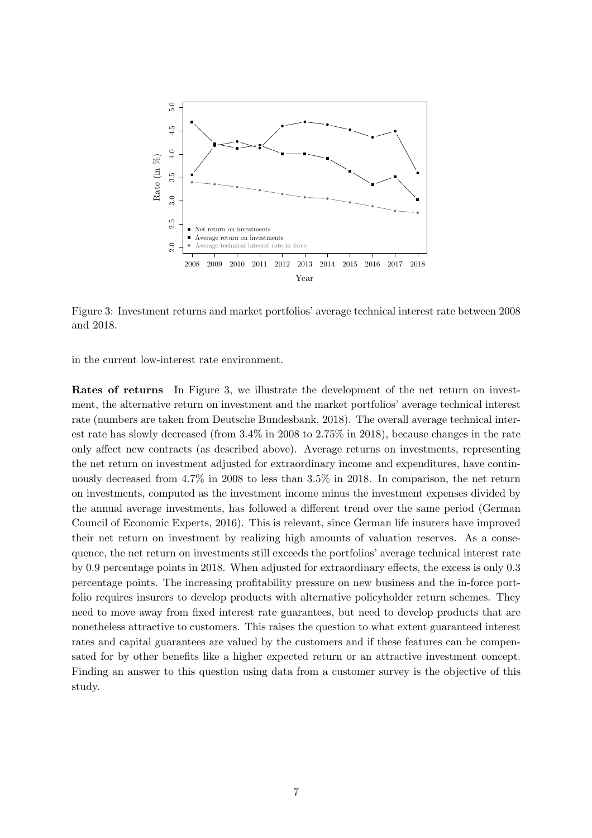<span id="page-6-0"></span>

Figure 3: Investment returns and market portfolios' average technical interest rate between 2008 and 2018.

in the current low-interest rate environment.

Rates of returns In Figure [3,](#page-6-0) we illustrate the development of the net return on investment, the alternative return on investment and the market portfolios' average technical interest rate (numbers are taken from [Deutsche Bundesbank, 2018\)](#page-25-4). The overall average technical interest rate has slowly decreased (from 3.4% in 2008 to 2.75% in 2018), because changes in the rate only affect new contracts (as described above). Average returns on investments, representing the net return on investment adjusted for extraordinary income and expenditures, have continuously decreased from 4.7% in 2008 to less than 3.5% in 2018. In comparison, the net return on investments, computed as the investment income minus the investment expenses divided by the annual average investme[nts, has followed a different trend over the same period \(](#page-26-15)German Council of Economic Experts, [2016](#page-26-15)). This is relevant, since German life insurers have improved their net return on investment by realizing high amounts of valuation reserves. As a consequence, the net return on investments still exceeds the portfolios' average technical interest rate by 0.9 percentage points in 2018. When adjusted for extraordinary effects, the excess is only 0.3 percentage points. The increasing profitability pressure on new business and the in-force portfolio requires insurers to develop products with alternative policyholder return schemes. They need to move away from fixed interest rate guarantees, but need to develop products that are nonetheless attractive to customers. This raises the question to what extent guaranteed interest rates and capital guarantees are valued by the customers and if these features can be compensated for by other benefits like a higher expected return or an attractive investment concept. Finding an answer to this question using data from a customer survey is the objective of this study.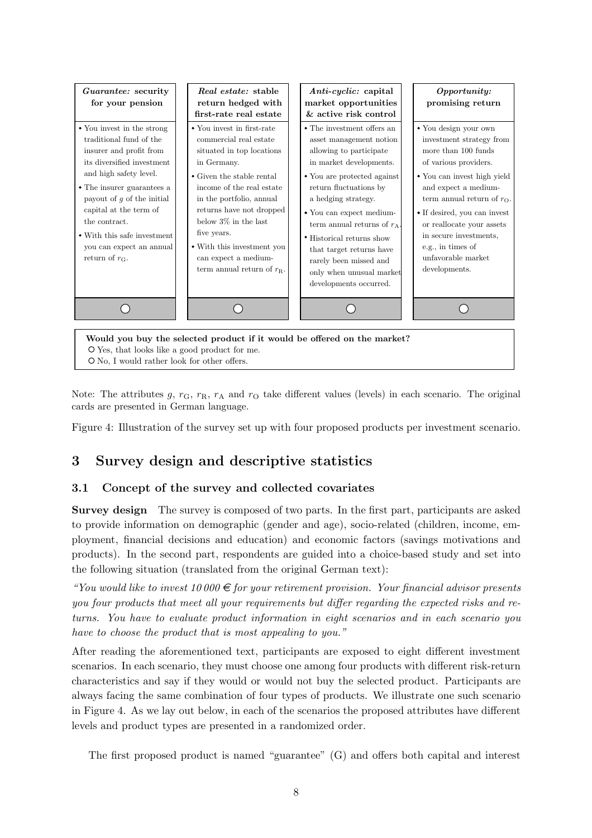<span id="page-7-1"></span>

Note: The attributes g,  $r_{\rm G}$ ,  $r_{\rm R}$ ,  $r_{\rm A}$  and  $r_{\rm O}$  take different values (levels) in each scenario. The original cards are presented in German language.

Figure 4: Illustration of the survey set up with four proposed products per investment scenario.

# <span id="page-7-2"></span><span id="page-7-0"></span>3 Survey design and descriptive statistics

# 3.1 Concept of the survey and collected covariates

Survey design The survey is composed of two parts. In the first part, participants are asked to provide information on demographic (gender and age), socio-related (children, income, employment, financial decisions and education) and economic factors (savings motivations and products). In the second part, respondents are guided into a choice-based study and set into the following situation (translated from the original German text):

"You would like to invest 10 000  $\in$  for your retirement provision. Your financial advisor presents you four products that meet all your requirements but differ regarding the expected risks and returns. You have to evaluate product information in eight scenarios and in each scenario you have to choose the product that is most appealing to you."

After reading the aforementioned text, participants are exposed to eight different investment scenarios. In each scenario, they must choose one among four products with different risk-return characteristics and say if they would or would not buy the selected product. Participants are always facing the same combination of four types of products. We illustrate one such scenario in Figure [4.](#page-7-1) As we lay out below, in each of the scenarios the proposed attributes have different levels and product types are presented in a randomized order.

The first proposed product is named "guarantee" (G) and offers both capital and interest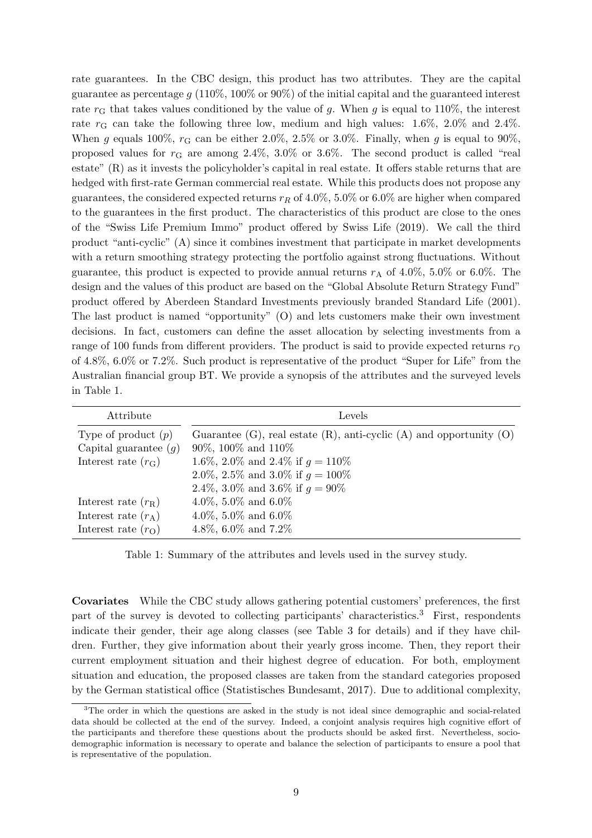rate guarantees. In the CBC design, this product has two attributes. They are the capital guarantee as percentage  $g(110\%, 100\% \text{ or } 90\%)$  of the initial capital and the guaranteed interest rate  $r<sub>G</sub>$  that takes values conditioned by the value of g. When g is equal to 110%, the interest rate  $r_G$  can take the following three low, medium and high values: 1.6%, 2.0% and 2.4%. When g equals 100%,  $r<sub>G</sub>$  can be either 2.0%, 2.5% or 3.0%. Finally, when g is equal to 90%, proposed values for  $r<sub>G</sub>$  are among 2.4%, 3.0% or 3.6%. The second product is called "real estate" (R) as it invests the policyholder's capital in real estate. It offers stable returns that are hedged with first-rate German commercial real estate. While this products does not propose any guarantees, the considered expected returns  $r_R$  of 4.0%, 5.0% or 6.0% are higher when compared to the guarantees in the first product. The characteristics of this product are close to the ones of the "Swiss Life Premium Immo" product offered by [Swiss Life](#page-28-12) [\(2019\)](#page-28-12). We call the third product "anti-cyclic" (A) since it combines investment that participate in market developments with a return smoothing strategy protecting the portfolio against strong fluctuations. Without guarantee, this product is expected to provide annual returns  $r_A$  of 4.0%, 5.0% or 6.0%. The design and the values of this product are based on the "Global Absolute Return Strategy Fund" product offered by Aberdeen Standard Investments previously branded [Standard Life \(2001\)](#page-28-13). The last product is named "opportunity" (O) and lets customers make their own investment decisions. In fact, customers can define the asset allocation by selecting investments from a range of 100 funds from different providers. The product is said to provide expected returns  $r_{\rm O}$ of 4.8%, 6.0% or 7.2%. Such product is representative of the product "Super for Life" from the Australian financial group BT. We provide a synopsis of the attributes and the surveyed levels in Table [1.](#page-8-0)

<span id="page-8-0"></span>

| Attribute               | Levels                                                                        |
|-------------------------|-------------------------------------------------------------------------------|
| Type of product $(p)$   | Guarantee $(G)$ , real estate $(R)$ , anti-cyclic $(A)$ and opportunity $(O)$ |
| Capital guarantee $(g)$ | $90\%$ , $100\%$ and $110\%$                                                  |
| Interest rate $(r_G)$   | 1.6\%, 2.0\% and 2.4\% if $g = 110\%$                                         |
|                         | 2.0\%, 2.5\% and 3.0\% if $q = 100\%$                                         |
|                         | 2.4\%, 3.0\% and 3.6\% if $q = 90\%$                                          |
| Interest rate $(r_R)$   | 4.0\%, 5.0\% and 6.0\%                                                        |
| Interest rate $(r_A)$   | 4.0%, 5.0% and 6.0%                                                           |
| Interest rate $(rO)$    | 4.8%, 6.0% and 7.2%                                                           |

Table 1: Summary of the attributes and levels used in the survey study.

Covariates While the CBC study allows gathering potential customers' preferences, the first part of the survey is devoted to collecting participants' characteristics.[3](#page-8-1) First, respondents indicate their gender, their age along classes (see Table [3](#page-10-1) for details) and if they have children. Further, they give information about their yearly gross income. Then, they report their current employment situation and their highest degree of education. For both, employment situation and education, the proposed classes are taken from the standard categories proposed by the German statistical office [\(Statistisches Bundesamt, 2017\)](#page-28-14). Due to additional complexity,

<span id="page-8-1"></span><sup>&</sup>lt;sup>3</sup>The order in which the questions are asked in the study is not ideal since demographic and social-related data should be collected at the end of the survey. Indeed, a conjoint analysis requires high cognitive effort of the participants and therefore these questions about the products should be asked first. Nevertheless, sociodemographic information is necessary to operate and balance the selection of participants to ensure a pool that is representative of the population.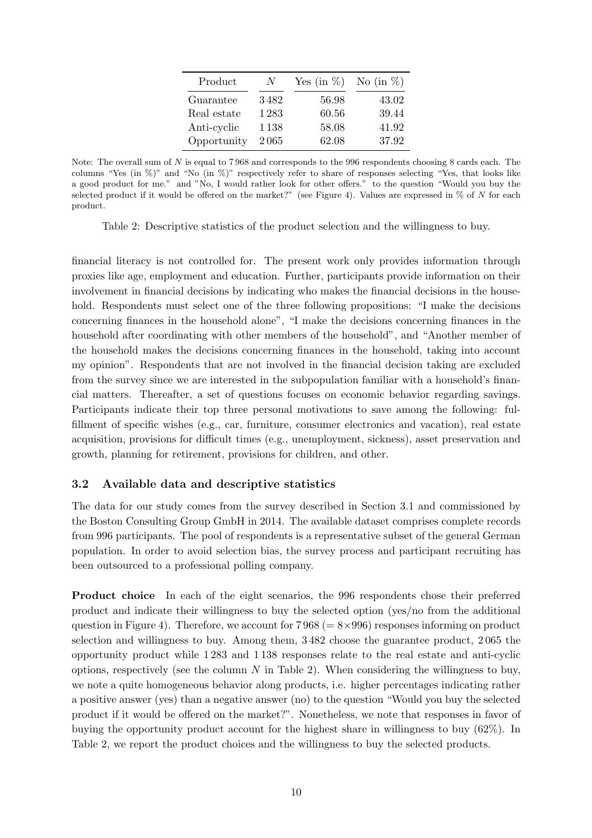| Product     | N    | Yes (in $\%$ ) | No (in $\%$ ) |
|-------------|------|----------------|---------------|
| Guarantee   | 3482 | 56.98          | 43.02         |
| Real estate | 1283 | 60.56          | 39.44         |
| Anti-cyclic | 1138 | 58.08          | 41.92         |
| Opportunity | 2065 | 62.08          | 37.92         |

<span id="page-9-0"></span>Note: The overall sum of N is equal to 7 968 and corresponds to the 996 respondents choosing 8 cards each. The columns "Yes (in %)" and "No (in %)" respectively refer to share of responses selecting "Yes, that looks like a good product for me." and "No, I would rather look for other offers." to the question "Would you buy the selected product if it would be offered on the market?" (see Figure [4\)](#page-7-1). Values are expressed in  $\%$  of N for each product.

Table 2: Descriptive statistics of the product selection and the willingness to buy.

financial literacy is not controlled for. The present work only provides information through proxies like age, employment and education. Further, participants provide information on their involvement in financial decisions by indicating who makes the financial decisions in the household. Respondents must select one of the three following propositions: "I make the decisions concerning finances in the household alone", "I make the decisions concerning finances in the household after coordinating with other members of the household", and "Another member of the household makes the decisions concerning finances in the household, taking into account my opinion". Respondents that are not involved in the financial decision taking are excluded from the survey since we are interested in the subpopulation familiar with a household's financial matters. Thereafter, a set of questions focuses on economic behavior regarding savings. Participants indicate their top three personal motivations to save among the following: fulfillment of specific wishes (e.g., car, furniture, consumer electronics and vacation), real estate acquisition, provisions for difficult times (e.g., unemployment, sickness), asset preservation and growth, planning for retirement, provisions for children, and other.

#### 3.2 Available data and descriptive statistics

The data for our study comes from the survey described in Section [3.1](#page-7-2) and commissioned by the Boston Consulting Group GmbH in 2014. The available dataset comprises complete records from 996 participants. The pool of respondents is a representative subset of the general German population. In order to avoid selection bias, the survey process and participant recruiting has been outsourced to a professional polling company.

Product choice In each of the eight scenarios, the 996 respondents chose their preferred product and indicate their willingness to buy the selected option (yes/no from the additional question in Figure [4\)](#page-7-1). Therefore, we account for  $7968 (= 8 \times 996)$  responses informing on product selection and willingness to buy. Among them, 3 482 choose the guarantee product, 2 065 the opportunity product while 1 283 and 1 138 responses relate to the real estate and anti-cyclic options, respectively (see the column  $N$  in Table [2\)](#page-9-0). When considering the willingness to buy, we note a quite homogeneous behavior along products, i.e. higher percentages indicating rather a positive answer (yes) than a negative answer (no) to the question "Would you buy the selected product if it would be offered on the market?". Nonetheless, we note that responses in favor of buying the opportunity product account for the highest share in willingness to buy (62%). In Table [2,](#page-9-0) we report the product choices and the willingness to buy the selected products.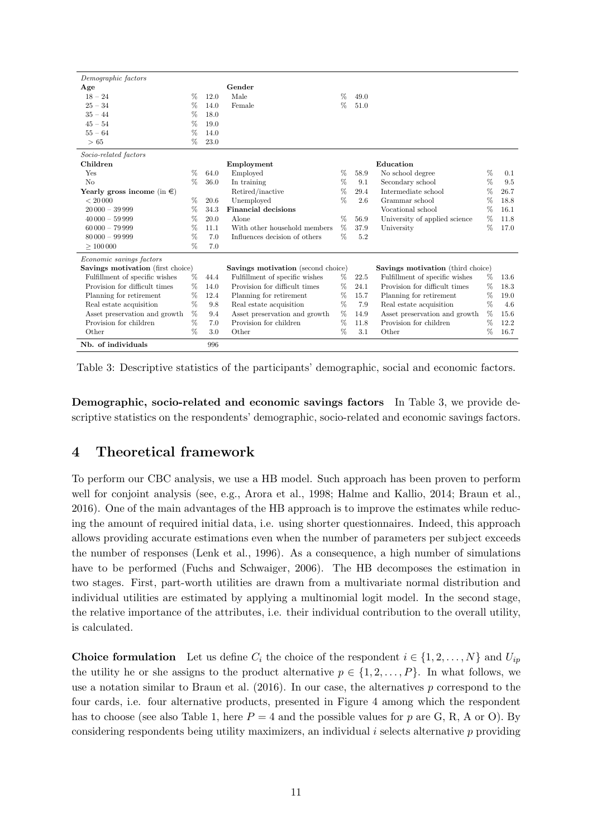<span id="page-10-1"></span>

| Demographic factors               |      |      |                                           |      |      |                                   |      |      |
|-----------------------------------|------|------|-------------------------------------------|------|------|-----------------------------------|------|------|
| Age                               |      |      | Gender                                    |      |      |                                   |      |      |
| $18 - 24$                         | %    | 12.0 | Male                                      | %    | 49.0 |                                   |      |      |
| $25 - 34$                         | %    | 14.0 | Female                                    | %    | 51.0 |                                   |      |      |
| $35 - 44$                         | %    | 18.0 |                                           |      |      |                                   |      |      |
| $45 - 54$                         | %    | 19.0 |                                           |      |      |                                   |      |      |
| $55 - 64$                         | %    | 14.0 |                                           |      |      |                                   |      |      |
| >65                               | %    | 23.0 |                                           |      |      |                                   |      |      |
| Socio-related factors             |      |      |                                           |      |      |                                   |      |      |
| Children                          |      |      | Employment                                |      |      | Education                         |      |      |
| Yes                               | %    | 64.0 | Employed                                  | %    | 58.9 | No school degree                  | %    | 0.1  |
| No                                | %    | 36.0 | In training                               | %    | 9.1  | Secondary school                  | $\%$ | 9.5  |
| Yearly gross income (in $\in$ )   |      |      | Retired/inactive                          | %    | 29.4 | Intermediate school               | $\%$ | 26.7 |
| < 20000                           | %    | 20.6 | Unemployed                                | %    | 2.6  | Grammar school                    | $\%$ | 18.8 |
| $20000 - 39999$                   | %    | 34.3 | <b>Financial decisions</b>                |      |      | Vocational school                 | $\%$ | 16.1 |
| $40000 - 59999$                   | %    | 20.0 | Alone                                     | $\%$ | 56.9 | University of applied science     | %    | 11.8 |
| $60000 - 79999$                   | %    | 11.1 | With other household members              | %    | 37.9 | University                        | $\%$ | 17.0 |
| $80000 - 99999$                   | %    | 7.0  | Influences decision of others             | $\%$ | 5.2  |                                   |      |      |
| >100000                           | %    | 7.0  |                                           |      |      |                                   |      |      |
| Economic savings factors          |      |      |                                           |      |      |                                   |      |      |
| Savings motivation (first choice) |      |      | <b>Savings motivation</b> (second choice) |      |      | Savings motivation (third choice) |      |      |
| Fulfillment of specific wishes    | %    | 44.4 | Fulfillment of specific wishes            | $\%$ | 22.5 | Fulfillment of specific wishes    | %    | 13.6 |
| Provision for difficult times     | %    | 14.0 | Provision for difficult times             | $\%$ | 24.1 | Provision for difficult times     | %    | 18.3 |
| Planning for retirement           | %    | 12.4 | Planning for retirement                   | %    | 15.7 | Planning for retirement           | %    | 19.0 |
| Real estate acquisition           | %    | 9.8  | Real estate acquisition                   | $\%$ | 7.9  | Real estate acquisition           | %    | 4.6  |
| Asset preservation and growth     | $\%$ | 9.4  | Asset preservation and growth             | $\%$ | 14.9 | Asset preservation and growth     | %    | 15.6 |
| Provision for children            | %    | 7.0  | Provision for children                    | ℅    | 11.8 | Provision for children            | $\%$ | 12.2 |
| Other                             | %    | 3.0  | Other                                     | %    | 3.1  | Other                             | %    | 16.7 |
| Nb. of individuals                |      | 996  |                                           |      |      |                                   |      |      |

Table 3: Descriptive statistics of the participants' demographic, social and economic factors.

Demographic, socio-related and economic savings factors In Table [3,](#page-10-1) we provide descriptive statistics on the respondents' demographic, socio-related and economic savings factors.

# <span id="page-10-0"></span>4 Theoretical framework

To perform our CBC analysis, we use a HB model. Such approach has been proven to perform well for conjoint analysis (see, e.g., [Arora et al., 1998](#page-24-14); [Halme and Kallio, 2014](#page-26-16); [Braun et al.](#page-24-7), [2016\)](#page-24-7). One of the main advantages of the HB approach is to improve the estimates while reducing the amount of required initial data, i.e. using shorter questionnaires. Indeed, this approach allows providing accurate estimations even when the number of parameters per subject exceeds the number of responses [\(Lenk et al.](#page-27-12), [1996](#page-27-12)). As a consequence, a high number of simulations have to be performed [\(Fuchs and Schwaiger, 2006](#page-26-17)). The HB decomposes the estimation in two stages. First, part-worth utilities are drawn from a multivariate normal distribution and individual utilities are estimated by applying a multinomial logit model. In the second stage, the relative importance of the attributes, i.e. their individual contribution to the overall utility, is calculated.

**Choice formulation** Let us define  $C_i$  the choice of the respondent  $i \in \{1, 2, ..., N\}$  and  $U_{ip}$ the utility he or she assigns to the product alternative  $p \in \{1, 2, \ldots, P\}$ . In what follows, we use a notation similar to Braun et al.  $(2016)$ . In our case, the alternatives p correspond to the four cards, i.e. four alternative products, presented in Figure [4](#page-7-1) among which the respondent has to choose (see also Table [1,](#page-8-0) here  $P = 4$  and the possible values for p are G, R, A or O). By considering respondents being utility maximizers, an individual  $i$  selects alternative  $p$  providing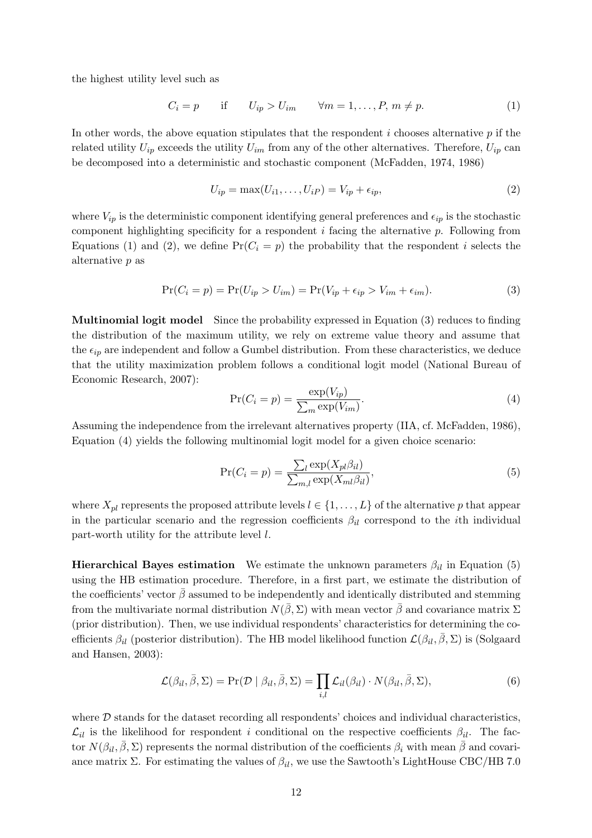the highest utility level such as

<span id="page-11-0"></span>
$$
C_i = p \quad \text{if} \quad U_{ip} > U_{im} \quad \forall m = 1, \dots, P, m \neq p. \tag{1}
$$

In other words, the above equation stipulates that the respondent  $i$  chooses alternative  $p$  if the related utility  $U_{ip}$  exceeds the utility  $U_{im}$  from any of the other alternatives. Therefore,  $U_{ip}$  can be decomposed into a deterministic and stochastic component [\(McFadden, 1974](#page-27-13), [1986\)](#page-27-14)

<span id="page-11-1"></span>
$$
U_{ip} = \max(U_{i1}, \dots, U_{iP}) = V_{ip} + \epsilon_{ip},\tag{2}
$$

where  $V_{ip}$  is the deterministic component identifying general preferences and  $\epsilon_{ip}$  is the stochastic component highlighting specificity for a respondent i facing the alternative p. Following from Equations [\(1\)](#page-11-0) and [\(2\)](#page-11-1), we define  $Pr(C_i = p)$  the probability that the respondent i selects the alternative p as

<span id="page-11-2"></span>
$$
Pr(C_i = p) = Pr(U_{ip} > U_{im}) = Pr(V_{ip} + \epsilon_{ip} > V_{im} + \epsilon_{im}).
$$
\n(3)

Multinomial logit model Since the probability expressed in Equation [\(3\)](#page-11-2) reduces to finding the distribution of the maximum utility, we rely on extreme value theory and assume that the  $\epsilon_{ip}$  are independent and follow a Gumbel distribution. From these characteristics, we deduce that the utility m[aximization problem follows a conditional logit model \(](#page-27-15)National Bureau of Economic Research, [2007\)](#page-27-15):

<span id="page-11-3"></span>
$$
\Pr(C_i = p) = \frac{\exp(V_{ip})}{\sum_m \exp(V_{im})}.\tag{4}
$$

Assuming the independence from the irrelevant alternatives property (IIA, cf. [McFadden](#page-27-14), [1986\)](#page-27-14), Equation [\(4\)](#page-11-3) yields the following multinomial logit model for a given choice scenario:

<span id="page-11-4"></span>
$$
\Pr(C_i = p) = \frac{\sum_l \exp(X_{pl}\beta_{il})}{\sum_{m,l} \exp(X_{ml}\beta_{il})},\tag{5}
$$

where  $X_{pl}$  represents the proposed attribute levels  $l \in \{1, \ldots, L\}$  of the alternative p that appear in the particular scenario and the regression coefficients  $\beta_{il}$  correspond to the *i*th individual part-worth utility for the attribute level l.

Hierarchical Bayes estimation We estimate the unknown parameters  $\beta_{il}$  in Equation [\(5\)](#page-11-4) using the HB estimation procedure. Therefore, in a first part, we estimate the distribution of the coefficients' vector  $\bar{\beta}$  assumed to be independently and identically distributed and stemming from the multivariate normal distribution  $N(\bar{\beta}, \Sigma)$  with mean vector  $\bar{\beta}$  and covariance matrix  $\Sigma$ (prior distribution). Then, we use individual respondents' characteristics for determining the coefficients  $\beta_{il}$  [\(posterior distribution\). The HB model likelihood function](#page-28-15)  $\mathcal{L}(\beta_{il}, \overline{\beta}, \Sigma)$  is (Solgaard and Hansen, [2003\)](#page-28-15):

$$
\mathcal{L}(\beta_{il}, \bar{\beta}, \Sigma) = \Pr(\mathcal{D} \mid \beta_{il}, \bar{\beta}, \Sigma) = \prod_{i,l} \mathcal{L}_{il}(\beta_{il}) \cdot N(\beta_{il}, \bar{\beta}, \Sigma), \tag{6}
$$

where  $D$  stands for the dataset recording all respondents' choices and individual characteristics,  $\mathcal{L}_{il}$  is the likelihood for respondent i conditional on the respective coefficients  $\beta_{il}$ . The factor  $N(\beta_{il}, \overline{\beta}, \Sigma)$  represents the normal distribution of the coefficients  $\beta_i$  with mean  $\overline{\beta}$  and covariance matrix Σ. For estimating the values of  $\beta_{il}$ , we use the Sawtooth's LightHouse CBC/HB 7.0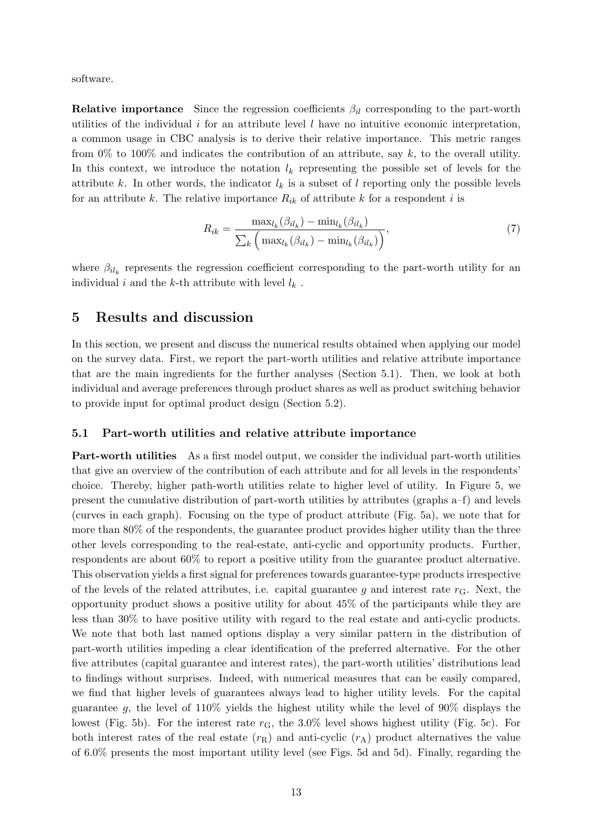software.

**Relative importance** Since the regression coefficients  $\beta_{il}$  corresponding to the part-worth utilities of the individual  $i$  for an attribute level  $l$  have no intuitive economic interpretation, a common usage in CBC analysis is to derive their relative importance. This metric ranges from 0% to 100% and indicates the contribution of an attribute, say  $k$ , to the overall utility. In this context, we introduce the notation  $l_k$  representing the possible set of levels for the attribute k. In other words, the indicator  $l_k$  is a subset of l reporting only the possible levels for an attribute k. The relative importance  $R_{ik}$  of attribute k for a respondent i is

<span id="page-12-2"></span>
$$
R_{ik} = \frac{\max_{l_k}(\beta_{il_k}) - \min_{l_k}(\beta_{il_k})}{\sum_{k} \left(\max_{l_k}(\beta_{il_k}) - \min_{l_k}(\beta_{il_k})\right)},\tag{7}
$$

where  $\beta_{il_k}$  represents the regression coefficient corresponding to the part-worth utility for an individual i and the k-th attribute with level  $l_k$ .

### <span id="page-12-0"></span>5 Results and discussion

In this section, we present and discuss the numerical results obtained when applying our model on the survey data. First, we report the part-worth utilities and relative attribute importance that are the main ingredients for the further analyses (Section [5.1\)](#page-12-1). Then, we look at both individual and average preferences through product shares as well as product switching behavior to provide input for optimal product design (Section [5.2\)](#page-15-0).

#### <span id="page-12-1"></span>5.1 Part-worth utilities and relative attribute importance

Part-worth utilities As a first model output, we consider the individual part-worth utilities that give an overview of the contribution of each attribute and for all levels in the respondents' choice. Thereby, higher path-worth utilities relate to higher level of utility. In Figure [5,](#page-13-0) we present the cumulative distribution of part-worth utilities by attributes (graphs a–f) and levels (curves in each graph). Focusing on the type of product attribute (Fig. [5a](#page-13-0)), we note that for more than 80% of the respondents, the guarantee product provides higher utility than the three other levels corresponding to the real-estate, anti-cyclic and opportunity products. Further, respondents are about 60% to report a positive utility from the guarantee product alternative. This observation yields a first signal for preferences towards guarantee-type products irrespective of the levels of the related attributes, i.e. capital guarantee g and interest rate  $r_{\rm G}$ . Next, the opportunity product shows a positive utility for about 45% of the participants while they are less than 30% to have positive utility with regard to the real estate and anti-cyclic products. We note that both last named options display a very similar pattern in the distribution of part-worth utilities impeding a clear identification of the preferred alternative. For the other five attributes (capital guarantee and interest rates), the part-worth utilities' distributions lead to findings without surprises. Indeed, with numerical measures that can be easily compared, we find that higher levels of guarantees always lead to higher utility levels. For the capital guarantee g, the level of  $110\%$  yields the highest utility while the level of 90% displays the lowest (Fig. [5b](#page-13-0)). For the interest rate  $r<sub>G</sub>$ , the 3.0% level shows highest utility (Fig. [5c](#page-13-0)). For both interest rates of the real estate  $(r_R)$  and anti-cyclic  $(r_A)$  product alternatives the value of 6.0% presents the most important utility level (see Figs. [5d](#page-13-0) and [5d](#page-13-0)). Finally, regarding the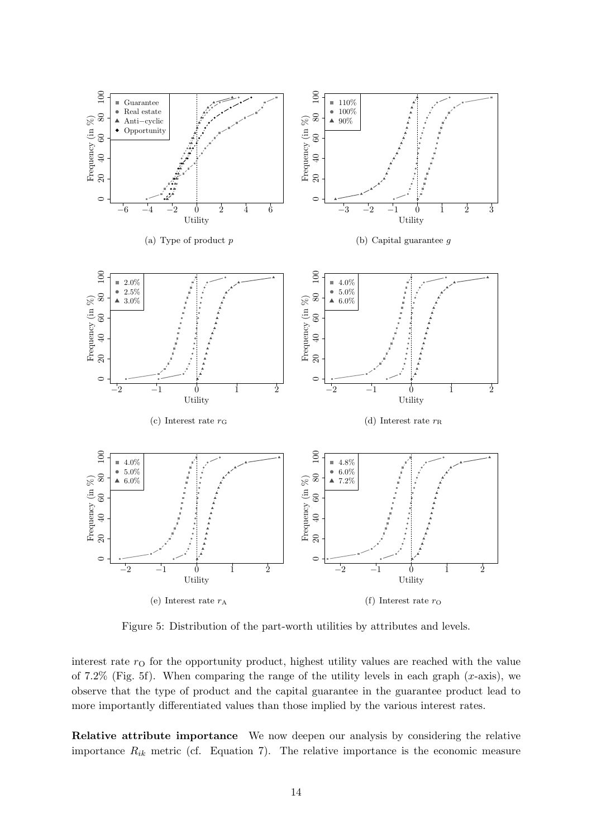<span id="page-13-0"></span>

Figure 5: Distribution of the part-worth utilities by attributes and levels.

interest rate  $r<sub>O</sub>$  for the opportunity product, highest utility values are reached with the value of 7.2% (Fig. [5f](#page-13-0)). When comparing the range of the utility levels in each graph  $(x\text{-axis})$ , we observe that the type of product and the capital guarantee in the guarantee product lead to more importantly differentiated values than those implied by the various interest rates.

Relative attribute importance We now deepen our analysis by considering the relative importance  $R_{ik}$  metric (cf. Equation [7\)](#page-12-2). The relative importance is the economic measure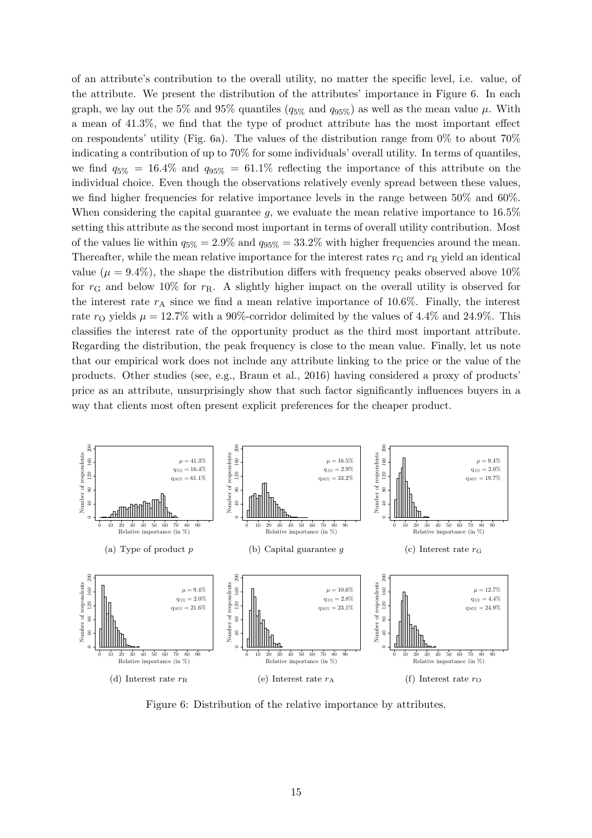of an attribute's contribution to the overall utility, no matter the specific level, i.e. value, of the attribute. We present the distribution of the attributes' importance in Figure [6.](#page-14-0) In each graph, we lay out the 5% and 95% quantiles ( $q_{5\%}$  and  $q_{95\%}$ ) as well as the mean value  $\mu$ . With a mean of 41.3%, we find that the type of product attribute has the most important effect on respondents' utility (Fig. [6a](#page-14-0)). The values of the distribution range from  $0\%$  to about  $70\%$ indicating a contribution of up to 70% for some individuals' overall utility. In terms of quantiles, we find  $q_{5\%} = 16.4\%$  and  $q_{95\%} = 61.1\%$  reflecting the importance of this attribute on the individual choice. Even though the observations relatively evenly spread between these values, we find higher frequencies for relative importance levels in the range between 50% and 60%. When considering the capital guarantee  $g$ , we evaluate the mean relative importance to 16.5% setting this attribute as the second most important in terms of overall utility contribution. Most of the values lie within  $q_{5\%} = 2.9\%$  and  $q_{95\%} = 33.2\%$  with higher frequencies around the mean. Thereafter, while the mean relative importance for the interest rates  $r<sub>G</sub>$  and  $r<sub>R</sub>$  yield an identical value ( $\mu = 9.4\%$ ), the shape the distribution differs with frequency peaks observed above 10% for  $r_{\rm G}$  and below 10% for  $r_{\rm R}$ . A slightly higher impact on the overall utility is observed for the interest rate  $r_A$  since we find a mean relative importance of 10.6%. Finally, the interest rate  $r_{\rm O}$  yields  $\mu = 12.7\%$  with a 90%-corridor delimited by the values of 4.4% and 24.9%. This classifies the interest rate of the opportunity product as the third most important attribute. Regarding the distribution, the peak frequency is close to the mean value. Finally, let us note that our empirical work does not include any attribute linking to the price or the value of the products. Other studies (see, e.g., [Braun et al., 2016\)](#page-24-7) having considered a proxy of products' price as an attribute, unsurprisingly show that such factor significantly influences buyers in a way that clients most often present explicit preferences for the cheaper product.

<span id="page-14-0"></span>

Figure 6: Distribution of the relative importance by attributes.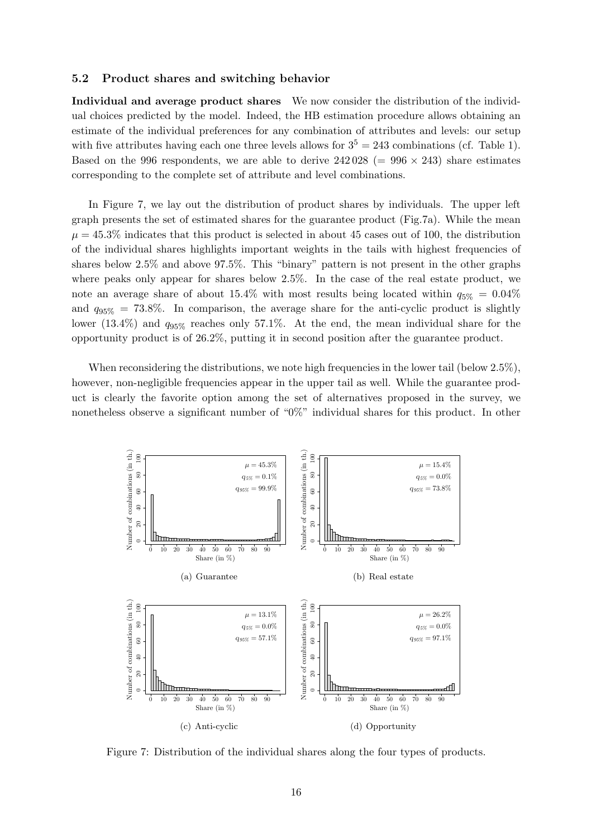#### <span id="page-15-0"></span>5.2 Product shares and switching behavior

Individual and average product shares We now consider the distribution of the individual choices predicted by the model. Indeed, the HB estimation procedure allows obtaining an estimate of the individual preferences for any combination of attributes and levels: our setup with five attributes having each one three levels allows for  $3^5 = 243$  combinations (cf. Table [1\)](#page-8-0). Based on the 996 respondents, we are able to derive  $242\,028$  (= 996  $\times$  243) share estimates corresponding to the complete set of attribute and level combinations.

In Figure [7,](#page-15-1) we lay out the distribution of product shares by individuals. The upper left graph presents the set of estimated shares for the guarantee product (Fig[.7a](#page-15-1)). While the mean  $\mu = 45.3\%$  indicates that this product is selected in about 45 cases out of 100, the distribution of the individual shares highlights important weights in the tails with highest frequencies of shares below 2.5% and above 97.5%. This "binary" pattern is not present in the other graphs where peaks only appear for shares below 2.5%. In the case of the real estate product, we note an average share of about 15.4% with most results being located within  $q_{5\%} = 0.04\%$ and  $q_{95\%} = 73.8\%$ . In comparison, the average share for the anti-cyclic product is slightly lower (13.4%) and  $q_{95\%}$  reaches only 57.1%. At the end, the mean individual share for the opportunity product is of 26.2%, putting it in second position after the guarantee product.

When reconsidering the distributions, we note high frequencies in the lower tail (below  $2.5\%$ ), however, non-negligible frequencies appear in the upper tail as well. While the guarantee product is clearly the favorite option among the set of alternatives proposed in the survey, we nonetheless observe a significant number of "0%" individual shares for this product. In other

<span id="page-15-1"></span>

Figure 7: Distribution of the individual shares along the four types of products.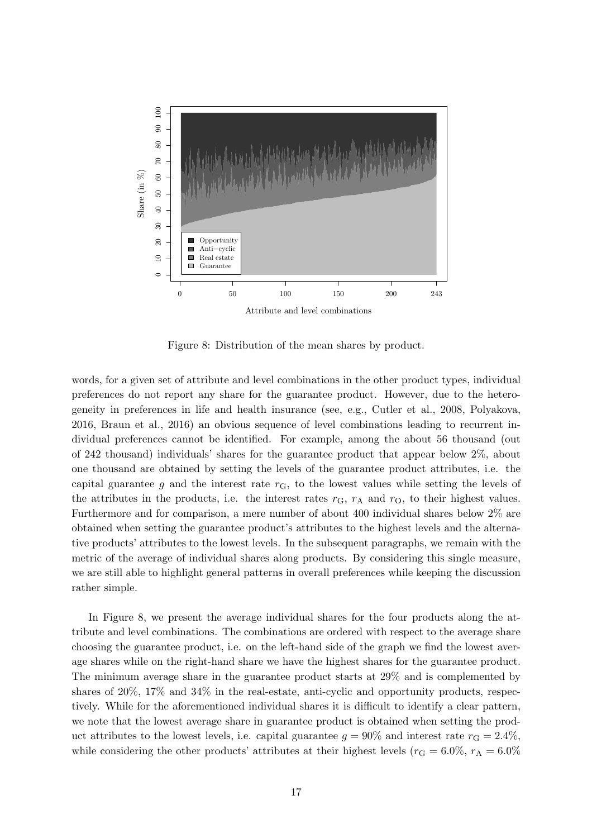<span id="page-16-0"></span>

Figure 8: Distribution of the mean shares by product.

words, for a given set of attribute and level combinations in the other product types, individual preferences do not report any share for the guarantee product. However, due to the heterogeneity in preferences in life and health insurance (see, e.g., [Cutler et al., 2008,](#page-25-5) [Polyakova](#page-27-16), [2016,](#page-27-16) [Braun et al.](#page-24-7), [2016\)](#page-24-7) an obvious sequence of level combinations leading to recurrent individual preferences cannot be identified. For example, among the about 56 thousand (out of 242 thousand) individuals' shares for the guarantee product that appear below 2%, about one thousand are obtained by setting the levels of the guarantee product attributes, i.e. the capital guarantee g and the interest rate  $r_{\text{G}}$ , to the lowest values while setting the levels of the attributes in the products, i.e. the interest rates  $r<sub>G</sub>$ ,  $r<sub>A</sub>$  and  $r<sub>O</sub>$ , to their highest values. Furthermore and for comparison, a mere number of about 400 individual shares below 2% are obtained when setting the guarantee product's attributes to the highest levels and the alternative products' attributes to the lowest levels. In the subsequent paragraphs, we remain with the metric of the average of individual shares along products. By considering this single measure, we are still able to highlight general patterns in overall preferences while keeping the discussion rather simple.

In Figure [8,](#page-16-0) we present the average individual shares for the four products along the attribute and level combinations. The combinations are ordered with respect to the average share choosing the guarantee product, i.e. on the left-hand side of the graph we find the lowest average shares while on the right-hand share we have the highest shares for the guarantee product. The minimum average share in the guarantee product starts at 29% and is complemented by shares of 20%, 17% and 34% in the real-estate, anti-cyclic and opportunity products, respectively. While for the aforementioned individual shares it is difficult to identify a clear pattern, we note that the lowest average share in guarantee product is obtained when setting the product attributes to the lowest levels, i.e. capital guarantee  $q = 90\%$  and interest rate  $r_{\rm G} = 2.4\%$ , while considering the other products' attributes at their highest levels ( $r<sub>G</sub> = 6.0\%$ ,  $r<sub>A</sub> = 6.0\%$ )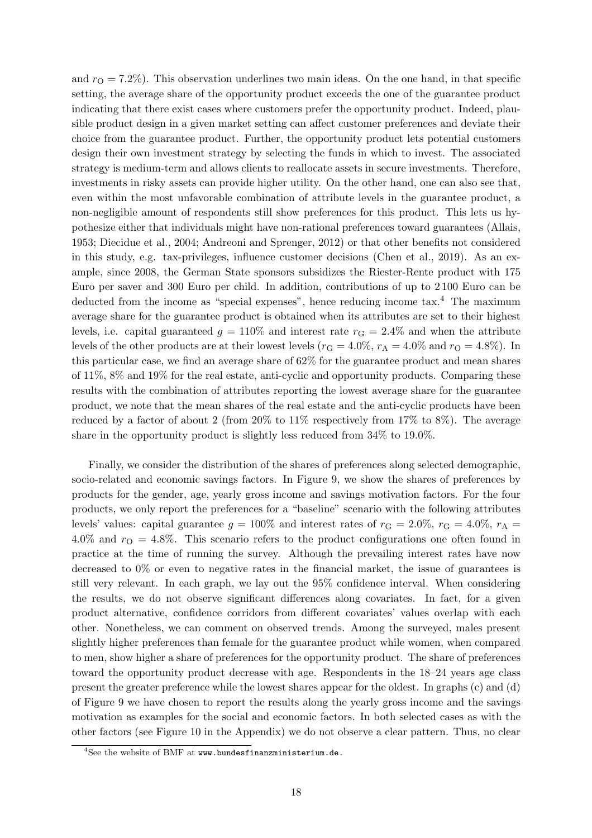and  $r<sub>O</sub> = 7.2\%$ ). This observation underlines two main ideas. On the one hand, in that specific setting, the average share of the opportunity product exceeds the one of the guarantee product indicating that there exist cases where customers prefer the opportunity product. Indeed, plausible product design in a given market setting can affect customer preferences and deviate their choice from the guarantee product. Further, the opportunity product lets potential customers design their own investment strategy by selecting the funds in which to invest. The associated strategy is medium-term and allows clients to reallocate assets in secure investments. Therefore, investments in risky assets can provide higher utility. On the other hand, one can also see that, even within the most unfavorable combination of attribute levels in the guarantee product, a non-negligible amount of respondents still show preferences for this product. This lets us hypothesize either that individuals might have non-rational preferences toward guarantees [\(Allais](#page-24-15), [1953;](#page-24-15) [Diecidue et al., 2004;](#page-25-16) [Andreoni and Sprenger, 2012\)](#page-24-16) or that other benefits not considered in this study, e.g. tax-privileges, influence customer decisions [\(Chen et al.](#page-25-8), [2019](#page-25-8)). As an example, since 2008, the German State sponsors subsidizes the Riester-Rente product with 175 Euro per saver and 300 Euro per child. In addition, contributions of up to 2 100 Euro can be deducted from the income as "special expenses", hence reducing income tax.<sup>[4](#page-17-0)</sup> The maximum average share for the guarantee product is obtained when its attributes are set to their highest levels, i.e. capital guaranteed  $g = 110\%$  and interest rate  $r<sub>G</sub> = 2.4\%$  and when the attribute levels of the other products are at their lowest levels ( $r_G = 4.0\%$ ,  $r_A = 4.0\%$  and  $r_O = 4.8\%$ ). In this particular case, we find an average share of 62% for the guarantee product and mean shares of 11%, 8% and 19% for the real estate, anti-cyclic and opportunity products. Comparing these results with the combination of attributes reporting the lowest average share for the guarantee product, we note that the mean shares of the real estate and the anti-cyclic products have been reduced by a factor of about 2 (from 20% to 11% respectively from 17% to 8%). The average share in the opportunity product is slightly less reduced from 34% to 19.0%.

Finally, we consider the distribution of the shares of preferences along selected demographic, socio-related and economic savings factors. In Figure [9,](#page-18-0) we show the shares of preferences by products for the gender, age, yearly gross income and savings motivation factors. For the four products, we only report the preferences for a "baseline" scenario with the following attributes levels' values: capital guarantee  $g = 100\%$  and interest rates of  $r_{\text{G}} = 2.0\%$ ,  $r_{\text{G}} = 4.0\%$ ,  $r_{\text{A}} =$ 4.0% and  $r_{\rm O} = 4.8\%$ . This scenario refers to the product configurations one often found in practice at the time of running the survey. Although the prevailing interest rates have now decreased to  $0\%$  or even to negative rates in the financial market, the issue of guarantees is still very relevant. In each graph, we lay out the 95% confidence interval. When considering the results, we do not observe significant differences along covariates. In fact, for a given product alternative, confidence corridors from different covariates' values overlap with each other. Nonetheless, we can comment on observed trends. Among the surveyed, males present slightly higher preferences than female for the guarantee product while women, when compared to men, show higher a share of preferences for the opportunity product. The share of preferences toward the opportunity product decrease with age. Respondents in the 18–24 years age class present the greater preference while the lowest shares appear for the oldest. In graphs (c) and (d) of Figure [9](#page-18-0) we have chosen to report the results along the yearly gross income and the savings motivation as examples for the social and economic factors. In both selected cases as with the other factors (see Figure [10](#page-23-0) in the Appendix) we do not observe a clear pattern. Thus, no clear

<span id="page-17-0"></span><sup>&</sup>lt;sup>4</sup>See the website of BMF at www.bundesfinanzministerium.de.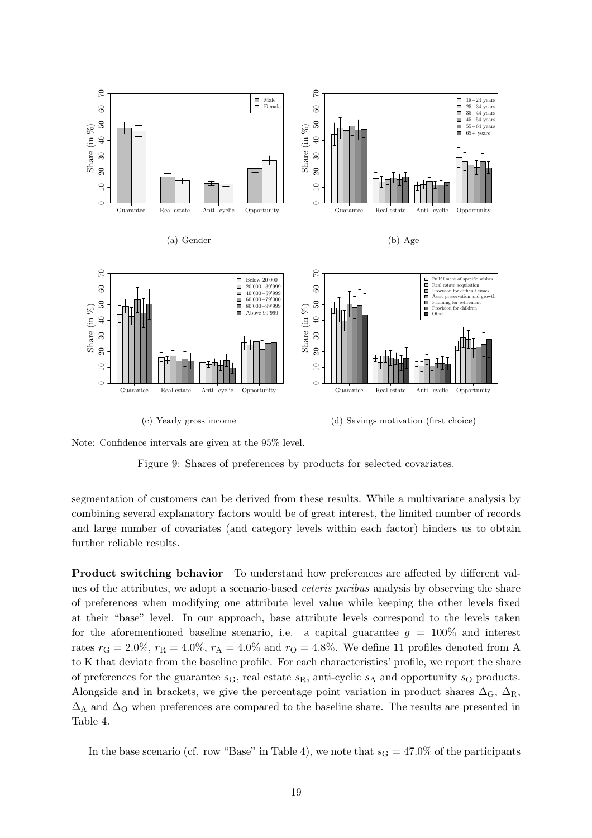<span id="page-18-0"></span>

Note: Confidence intervals are given at the 95% level.

Figure 9: Shares of preferences by products for selected covariates.

segmentation of customers can be derived from these results. While a multivariate analysis by combining several explanatory factors would be of great interest, the limited number of records and large number of covariates (and category levels within each factor) hinders us to obtain further reliable results.

Product switching behavior To understand how preferences are affected by different values of the attributes, we adopt a scenario-based ceteris paribus analysis by observing the share of preferences when modifying one attribute level value while keeping the other levels fixed at their "base" level. In our approach, base attribute levels correspond to the levels taken for the aforementioned baseline scenario, i.e. a capital guarantee  $g = 100\%$  and interest rates  $r_{\text{G}} = 2.0\%, r_{\text{R}} = 4.0\%, r_{\text{A}} = 4.0\%$  and  $r_{\text{O}} = 4.8\%$ . We define 11 profiles denoted from A to K that deviate from the baseline profile. For each characteristics' profile, we report the share of preferences for the guarantee  $s<sub>G</sub>$ , real estate  $s<sub>R</sub>$ , anti-cyclic  $s<sub>A</sub>$  and opportunity  $s<sub>O</sub>$  products. Alongside and in brackets, we give the percentage point variation in product shares  $\Delta_{\rm G}$ ,  $\Delta_{\rm R}$ ,  $\Delta_A$  and  $\Delta_O$  when preferences are compared to the baseline share. The results are presented in Table [4.](#page-19-0)

In the base scenario (cf. row "Base" in Table [4\)](#page-19-0), we note that  $s<sub>G</sub> = 47.0\%$  of the participants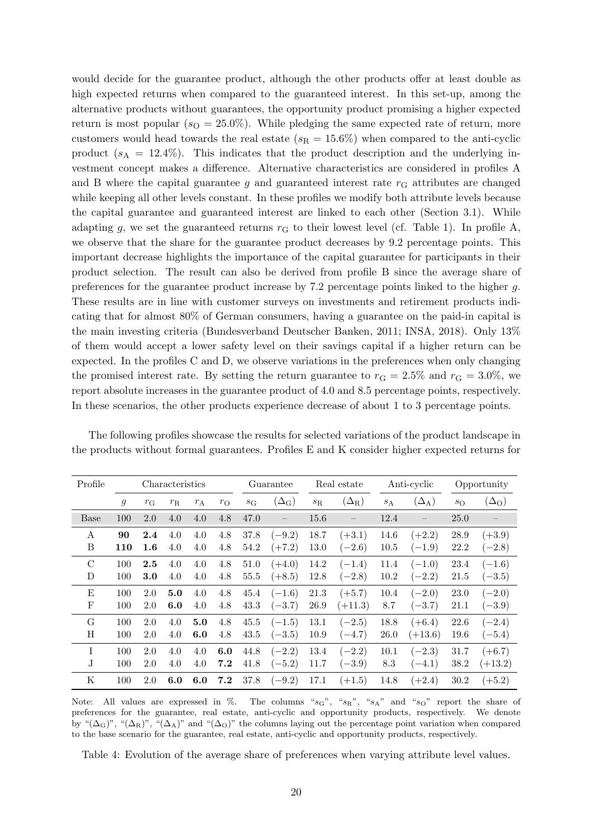would decide for the guarantee product, although the other products offer at least double as high expected returns when compared to the guaranteed interest. In this set-up, among the alternative products without guarantees, the opportunity product promising a higher expected return is most popular  $(s_0 = 25.0\%)$ . While pledging the same expected rate of return, more customers would head towards the real estate  $(s_R = 15.6\%)$  when compared to the anti-cyclic product  $(s_A = 12.4\%)$ . This indicates that the product description and the underlying investment concept makes a difference. Alternative characteristics are considered in profiles A and B where the capital guarantee q and guaranteed interest rate  $r<sub>G</sub>$  attributes are changed while keeping all other levels constant. In these profiles we modify both attribute levels because the capital guarantee and guaranteed interest are linked to each other (Section [3.1\)](#page-7-2). While adapting g, we set the guaranteed returns  $r<sub>G</sub>$  to their lowest level (cf. Table [1\)](#page-8-0). In profile A, we observe that the share for the guarantee product decreases by 9.2 percentage points. This important decrease highlights the importance of the capital guarantee for participants in their product selection. The result can also be derived from profile B since the average share of preferences for the guarantee product increase by 7.2 percentage points linked to the higher g. These results are in line with customer surveys on investments and retirement products indicating that for almost 80% of German consumers, having a guarantee on the paid-in capital is the main investing criteria [\(Bundesverband Deutscher Banken, 2011](#page-24-17); [INSA, 2018\)](#page-27-17). Only 13% of them would accept a lower safety level on their savings capital if a higher return can be expected. In the profiles C and D, we observe variations in the preferences when only changing the promised interest rate. By setting the return guarantee to  $r_{\text{G}} = 2.5\%$  and  $r_{\text{G}} = 3.0\%$ , we report absolute increases in the guarantee product of 4.0 and 8.5 percentage points, respectively. In these scenarios, the other products experience decrease of about 1 to 3 percentage points.

<span id="page-19-0"></span>

| Profile     | Characteristics |             |             | Guarantee |             | Real estate |                         | Anti-cyclic |              | Opportunity |              |             |                    |
|-------------|-----------------|-------------|-------------|-----------|-------------|-------------|-------------------------|-------------|--------------|-------------|--------------|-------------|--------------------|
|             | $\mathfrak{g}$  | $r_{\rm G}$ | $r_{\rm R}$ | $r_A$     | $r_{\rm O}$ | $S_{\rm G}$ | $(\Delta_{\mathrm{G}})$ | $s_{\rm R}$ | $(\Delta_R)$ | $s_A$       | $(\Delta_A)$ | $s_{\rm O}$ | $(\Delta_{\rm O})$ |
| <b>Base</b> | 100             | 2.0         | 4.0         | 4.0       | 4.8         | 47.0        |                         | 15.6        |              | 12.4        |              | 25.0        |                    |
| A           | 90              | $2.4\,$     | 4.0         | 4.0       | 4.8         | 37.8        | $(-9.2)$                | 18.7        | $(+3.1)$     | 14.6        | $(+2.2)$     | 28.9        | $(+3.9)$           |
| B           | 110             | $1.6\,$     | 4.0         | 4.0       | 4.8         | 54.2        | $(+7.2)$                | 13.0        | $(-2.6)$     | 10.5        | $(-1.9)$     | 22.2        | $(-2.8)$           |
| $\rm C$     | 100             | 2.5         | 4.0         | 4.0       | 4.8         | 51.0        | $(+4.0)$                | 14.2        | $(-1.4)$     | 11.4        | $(-1.0)$     | 23.4        | $(-1.6)$           |
| D           | 100             | 3.0         | 4.0         | 4.0       | 4.8         | 55.5        | $(+8.5)$                | 12.8        | $(-2.8)$     | 10.2        | $(-2.2)$     | 21.5        | $(-3.5)$           |
| Ε           | 100             | 2.0         | 5.0         | 4.0       | 4.8         | 45.4        | $(-1.6)$                | 21.3        | $(+5.7)$     | 10.4        | $(-2.0)$     | 23.0        | $(-2.0)$           |
| F           | 100             | 2.0         | 6.0         | 4.0       | 4.8         | 43.3        | $(-3.7)$                | 26.9        | $(+11.3)$    | 8.7         | $(-3.7)$     | 21.1        | $(-3.9)$           |
| G           | 100             | 2.0         | 4.0         | 5.0       | 4.8         | 45.5        | $(-1.5)$                | 13.1        | $(-2.5)$     | 18.8        | $(+6.4)$     | 22.6        | $(-2.4)$           |
| Η           | 100             | 2.0         | 4.0         | 6.0       | 4.8         | 43.5        | $(-3.5)$                | 10.9        | $(-4.7)$     | 26.0        | $(+13.6)$    | 19.6        | $(-5.4)$           |
| T           | 100             | 2.0         | 4.0         | 4.0       | 6.0         | 44.8        | $(-2.2)$                | 13.4        | $(-2.2)$     | 10.1        | $(-2.3)$     | 31.7        | $(+6.7)$           |
| J           | 100             | 2.0         | 4.0         | 4.0       | 7.2         | 41.8        | $(-5.2)$                | 11.7        | $-3.9)$      | 8.3         | $(-4.1)$     | 38.2        | $(+13.2)$          |
| Κ           | 100             | 2.0         | 6.0         | 6.0       | 7.2         | 37.8        | $(-9.2)$                | 17.1        | $(+1.5)$     | 14.8        | $(+2.4)$     | 30.2        | $(+5.2)$           |

The following profiles showcase the results for selected variations of the product landscape in the products without formal guarantees. Profiles E and K consider higher expected returns for

Note: All values are expressed in  $\%$ . The columns " $s<sub>G</sub>$ ", " $s<sub>R</sub>$ ", " $s<sub>A</sub>$ " and " $s<sub>O</sub>$ " report the share of preferences for the guarantee, real estate, anti-cyclic and opportunity products, respectively. We denote by " $(\Delta_G)$ ", " $(\Delta_R)$ ", " $(\Delta_A)$ " and " $(\Delta_G)$ " the columns laying out the percentage point variation when compared to the base scenario for the guarantee, real estate, anti-cyclic and opportunity products, respectively.

Table 4: Evolution of the average share of preferences when varying attribute level values.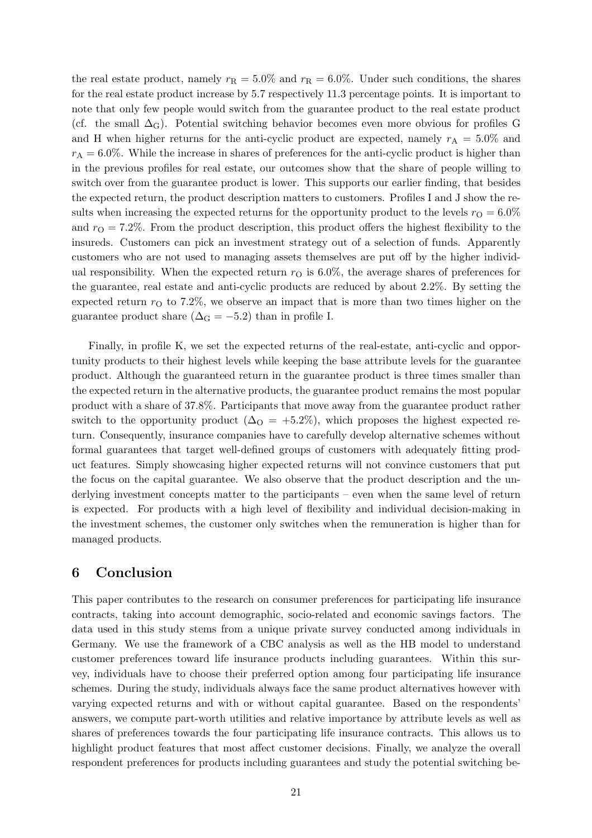the real estate product, namely  $r_R = 5.0\%$  and  $r_R = 6.0\%$ . Under such conditions, the shares for the real estate product increase by 5.7 respectively 11.3 percentage points. It is important to note that only few people would switch from the guarantee product to the real estate product (cf. the small  $\Delta_{\rm G}$ ). Potential switching behavior becomes even more obvious for profiles G and H when higher returns for the anti-cyclic product are expected, namely  $r_A = 5.0\%$  and  $r_A = 6.0\%$ . While the increase in shares of preferences for the anti-cyclic product is higher than in the previous profiles for real estate, our outcomes show that the share of people willing to switch over from the guarantee product is lower. This supports our earlier finding, that besides the expected return, the product description matters to customers. Profiles I and J show the results when increasing the expected returns for the opportunity product to the levels  $r_{\Omega} = 6.0\%$ and  $r<sub>O</sub> = 7.2\%$ . From the product description, this product offers the highest flexibility to the insureds. Customers can pick an investment strategy out of a selection of funds. Apparently customers who are not used to managing assets themselves are put off by the higher individual responsibility. When the expected return  $r<sub>O</sub>$  is 6.0%, the average shares of preferences for the guarantee, real estate and anti-cyclic products are reduced by about 2.2%. By setting the expected return  $r<sub>O</sub>$  to 7.2%, we observe an impact that is more than two times higher on the guarantee product share ( $\Delta_{\rm G} = -5.2$ ) than in profile I.

Finally, in profile K, we set the expected returns of the real-estate, anti-cyclic and opportunity products to their highest levels while keeping the base attribute levels for the guarantee product. Although the guaranteed return in the guarantee product is three times smaller than the expected return in the alternative products, the guarantee product remains the most popular product with a share of 37.8%. Participants that move away from the guarantee product rather switch to the opportunity product ( $\Delta_{\rm O} = +5.2\%$ ), which proposes the highest expected return. Consequently, insurance companies have to carefully develop alternative schemes without formal guarantees that target well-defined groups of customers with adequately fitting product features. Simply showcasing higher expected returns will not convince customers that put the focus on the capital guarantee. We also observe that the product description and the underlying investment concepts matter to the participants – even when the same level of return is expected. For products with a high level of flexibility and individual decision-making in the investment schemes, the customer only switches when the remuneration is higher than for managed products.

# <span id="page-20-0"></span>6 Conclusion

This paper contributes to the research on consumer preferences for participating life insurance contracts, taking into account demographic, socio-related and economic savings factors. The data used in this study stems from a unique private survey conducted among individuals in Germany. We use the framework of a CBC analysis as well as the HB model to understand customer preferences toward life insurance products including guarantees. Within this survey, individuals have to choose their preferred option among four participating life insurance schemes. During the study, individuals always face the same product alternatives however with varying expected returns and with or without capital guarantee. Based on the respondents' answers, we compute part-worth utilities and relative importance by attribute levels as well as shares of preferences towards the four participating life insurance contracts. This allows us to highlight product features that most affect customer decisions. Finally, we analyze the overall respondent preferences for products including guarantees and study the potential switching be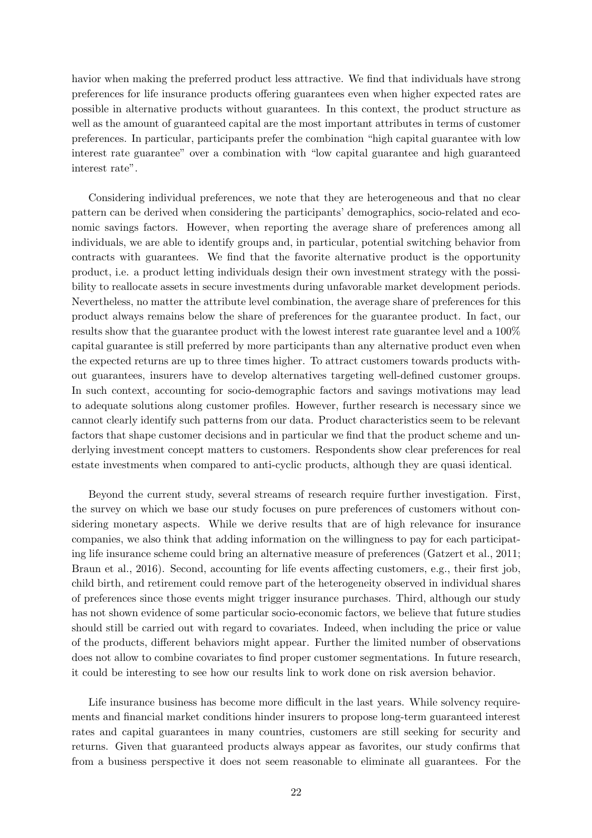havior when making the preferred product less attractive. We find that individuals have strong preferences for life insurance products offering guarantees even when higher expected rates are possible in alternative products without guarantees. In this context, the product structure as well as the amount of guaranteed capital are the most important attributes in terms of customer preferences. In particular, participants prefer the combination "high capital guarantee with low interest rate guarantee" over a combination with "low capital guarantee and high guaranteed interest rate".

Considering individual preferences, we note that they are heterogeneous and that no clear pattern can be derived when considering the participants' demographics, socio-related and economic savings factors. However, when reporting the average share of preferences among all individuals, we are able to identify groups and, in particular, potential switching behavior from contracts with guarantees. We find that the favorite alternative product is the opportunity product, i.e. a product letting individuals design their own investment strategy with the possibility to reallocate assets in secure investments during unfavorable market development periods. Nevertheless, no matter the attribute level combination, the average share of preferences for this product always remains below the share of preferences for the guarantee product. In fact, our results show that the guarantee product with the lowest interest rate guarantee level and a 100% capital guarantee is still preferred by more participants than any alternative product even when the expected returns are up to three times higher. To attract customers towards products without guarantees, insurers have to develop alternatives targeting well-defined customer groups. In such context, accounting for socio-demographic factors and savings motivations may lead to adequate solutions along customer profiles. However, further research is necessary since we cannot clearly identify such patterns from our data. Product characteristics seem to be relevant factors that shape customer decisions and in particular we find that the product scheme and underlying investment concept matters to customers. Respondents show clear preferences for real estate investments when compared to anti-cyclic products, although they are quasi identical.

Beyond the current study, several streams of research require further investigation. First, the survey on which we base our study focuses on pure preferences of customers without considering monetary aspects. While we derive results that are of high relevance for insurance companies, we also think that adding information on the willingness to pay for each participating life insurance scheme could bring an alternative measure of preferences [\(Gatzert et al.](#page-26-8), [2011](#page-26-8); [Braun et al., 2016](#page-24-7)). Second, accounting for life events affecting customers, e.g., their first job, child birth, and retirement could remove part of the heterogeneity observed in individual shares of preferences since those events might trigger insurance purchases. Third, although our study has not shown evidence of some particular socio-economic factors, we believe that future studies should still be carried out with regard to covariates. Indeed, when including the price or value of the products, different behaviors might appear. Further the limited number of observations does not allow to combine covariates to find proper customer segmentations. In future research, it could be interesting to see how our results link to work done on risk aversion behavior.

Life insurance business has become more difficult in the last years. While solvency requirements and financial market conditions hinder insurers to propose long-term guaranteed interest rates and capital guarantees in many countries, customers are still seeking for security and returns. Given that guaranteed products always appear as favorites, our study confirms that from a business perspective it does not seem reasonable to eliminate all guarantees. For the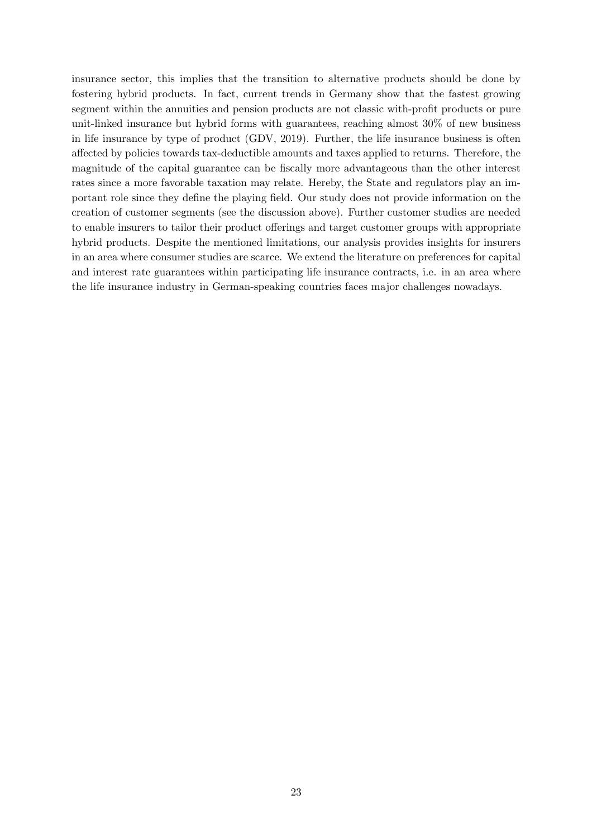insurance sector, this implies that the transition to alternative products should be done by fostering hybrid products. In fact, current trends in Germany show that the fastest growing segment within the annuities and pension products are not classic with-profit products or pure unit-linked insurance but hybrid forms with guarantees, reaching almost 30% of new business in life insurance by type of product (GDV, [2019\)](#page-26-9). Further, the life insurance business is often affected by policies towards tax-deductible amounts and taxes applied to returns. Therefore, the magnitude of the capital guarantee can be fiscally more advantageous than the other interest rates since a more favorable taxation may relate. Hereby, the State and regulators play an important role since they define the playing field. Our study does not provide information on the creation of customer segments (see the discussion above). Further customer studies are needed to enable insurers to tailor their product offerings and target customer groups with appropriate hybrid products. Despite the mentioned limitations, our analysis provides insights for insurers in an area where consumer studies are scarce. We extend the literature on preferences for capital and interest rate guarantees within participating life insurance contracts, i.e. in an area where the life insurance industry in German-speaking countries faces major challenges nowadays.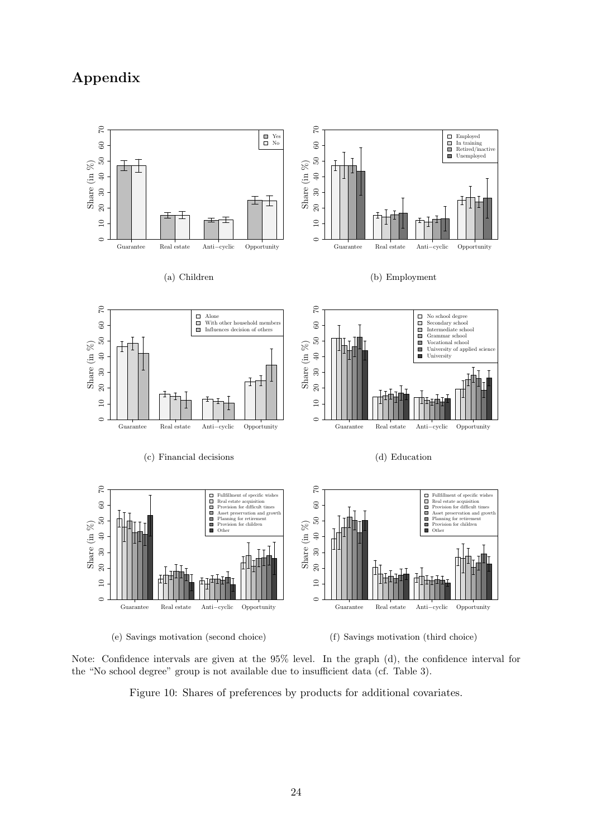# <span id="page-23-0"></span>Appendix



Note: Confidence intervals are given at the 95% level. In the graph (d), the confidence interval for the "No school degree" group is not available due to insufficient data (cf. Table [3\)](#page-10-1).

Figure 10: Shares of preferences by products for additional covariates.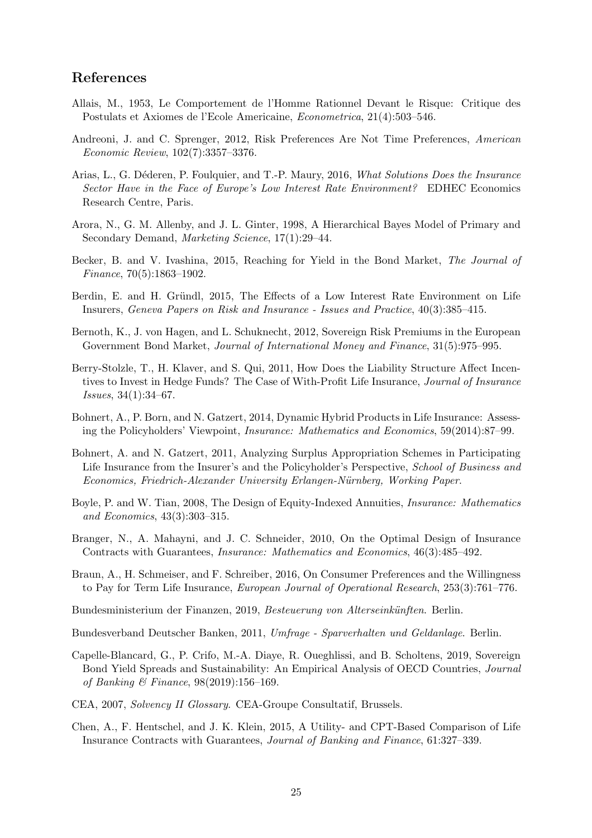# References

- <span id="page-24-15"></span>Allais, M., 1953, Le Comportement de l'Homme Rationnel Devant le Risque: Critique des Postulats et Axiomes de l'Ecole Americaine, Econometrica, 21(4):503–546.
- <span id="page-24-16"></span>Andreoni, J. and C. Sprenger, 2012, Risk Preferences Are Not Time Preferences, American Economic Review, 102(7):3357–3376.
- <span id="page-24-2"></span>Arias, L., G. Déderen, P. Foulquier, and T.-P. Maury, 2016, What Solutions Does the Insurance Sector Have in the Face of Europe's Low Interest Rate Environment? EDHEC Economics Research Centre, Paris.
- <span id="page-24-14"></span>Arora, N., G. M. Allenby, and J. L. Ginter, 1998, A Hierarchical Bayes Model of Primary and Secondary Demand, Marketing Science, 17(1):29–44.
- <span id="page-24-3"></span>Becker, B. and V. Ivashina, 2015, Reaching for Yield in the Bond Market, The Journal of Finance, 70(5):1863–1902.
- <span id="page-24-4"></span>Berdin, E. and H. Gründl, 2015, The Effects of a Low Interest Rate Environment on Life Insurers, Geneva Papers on Risk and Insurance - Issues and Practice, 40(3):385–415.
- <span id="page-24-0"></span>Bernoth, K., J. von Hagen, and L. Schuknecht, 2012, Sovereign Risk Premiums in the European Government Bond Market, *Journal of International Money and Finance*, 31(5):975–995.
- <span id="page-24-5"></span>Berry-Stolzle, T., H. Klaver, and S. Qui, 2011, How Does the Liability Structure Affect Incentives to Invest in Hedge Funds? The Case of With-Profit Life Insurance, Journal of Insurance Issues, 34(1):34–67.
- <span id="page-24-6"></span>Bohnert, A., P. Born, and N. Gatzert, 2014, Dynamic Hybrid Products in Life Insurance: Assessing the Policyholders' Viewpoint, Insurance: Mathematics and Economics, 59(2014):87–99.
- <span id="page-24-11"></span>Bohnert, A. and N. Gatzert, 2011, Analyzing Surplus Appropriation Schemes in Participating Life Insurance from the Insurer's and the Policyholder's Perspective, School of Business and Economics, Friedrich-Alexander University Erlangen-Nürnberg, Working Paper.
- <span id="page-24-8"></span>Boyle, P. and W. Tian, 2008, The Design of Equity-Indexed Annuities, Insurance: Mathematics and Economics, 43(3):303–315.
- <span id="page-24-9"></span>Branger, N., A. Mahayni, and J. C. Schneider, 2010, On the Optimal Design of Insurance Contracts with Guarantees, Insurance: Mathematics and Economics, 46(3):485–492.
- <span id="page-24-7"></span>Braun, A., H. Schmeiser, and F. Schreiber, 2016, On Consumer Preferences and the Willingness to Pay for Term Life Insurance, European Journal of Operational Research, 253(3):761–776.
- <span id="page-24-13"></span>Bundesministerium der Finanzen, 2019, Besteuerung von Alterseinkünften. Berlin.

<span id="page-24-17"></span>Bundesverband Deutscher Banken, 2011, Umfrage - Sparverhalten und Geldanlage. Berlin.

- <span id="page-24-1"></span>Capelle-Blancard, G., P. Crifo, M.-A. Diaye, R. Oueghlissi, and B. Scholtens, 2019, Sovereign Bond Yield Spreads and Sustainability: An Empirical Analysis of OECD Countries, Journal of Banking & Finance, 98(2019):156–169.
- <span id="page-24-12"></span>CEA, 2007, Solvency II Glossary. CEA-Groupe Consultatif, Brussels.
- <span id="page-24-10"></span>Chen, A., F. Hentschel, and J. K. Klein, 2015, A Utility- and CPT-Based Comparison of Life Insurance Contracts with Guarantees, Journal of Banking and Finance, 61:327–339.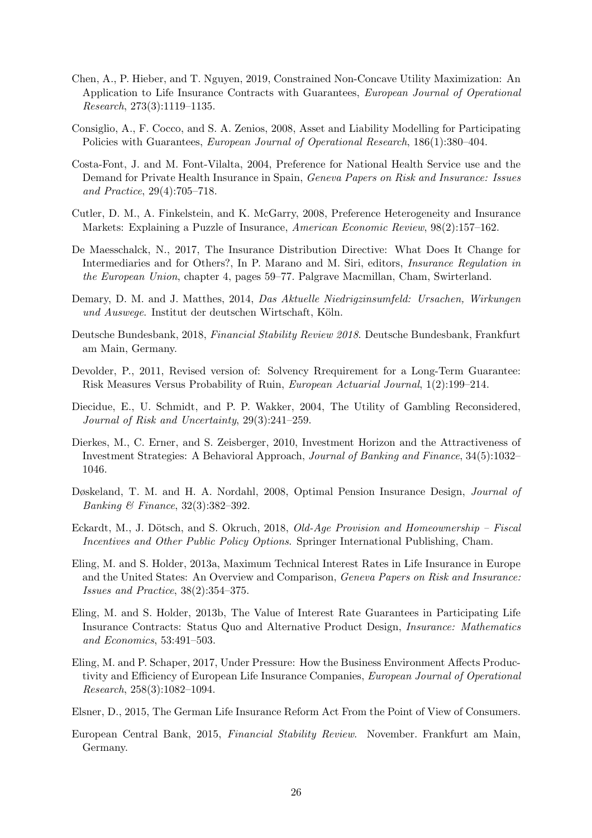- <span id="page-25-8"></span>Chen, A., P. Hieber, and T. Nguyen, 2019, Constrained Non-Concave Utility Maximization: An Application to Life Insurance Contracts with Guarantees, European Journal of Operational Research, 273(3):1119–1135.
- <span id="page-25-0"></span>Consiglio, A., F. Cocco, and S. A. Zenios, 2008, Asset and Liability Modelling for Participating Policies with Guarantees, European Journal of Operational Research, 186(1):380–404.
- <span id="page-25-6"></span>Costa-Font, J. and M. Font-Vilalta, 2004, Preference for National Health Service use and the Demand for Private Health Insurance in Spain, Geneva Papers on Risk and Insurance: Issues and Practice, 29(4):705–718.
- <span id="page-25-5"></span>Cutler, D. M., A. Finkelstein, and K. McGarry, 2008, Preference Heterogeneity and Insurance Markets: Explaining a Puzzle of Insurance, American Economic Review, 98(2):157–162.
- <span id="page-25-12"></span>De Maesschalck, N., 2017, The Insurance Distribution Directive: What Does It Change for Intermediaries and for Others?, In P. Marano and M. Siri, editors, Insurance Regulation in the European Union, chapter 4, pages 59–77. Palgrave Macmillan, Cham, Swirterland.
- <span id="page-25-13"></span>Demary, D. M. and J. Matthes, 2014, Das Aktuelle Niedrigzinsumfeld: Ursachen, Wirkungen und Auswege. Institut der deutschen Wirtschaft, Köln.
- <span id="page-25-4"></span>Deutsche Bundesbank, 2018, Financial Stability Review 2018. Deutsche Bundesbank, Frankfurt am Main, Germany.
- <span id="page-25-3"></span>Devolder, P., 2011, Revised version of: Solvency Rrequirement for a Long-Term Guarantee: Risk Measures Versus Probability of Ruin, European Actuarial Journal, 1(2):199–214.
- <span id="page-25-16"></span>Diecidue, E., U. Schmidt, and P. P. Wakker, 2004, The Utility of Gambling Reconsidered, Journal of Risk and Uncertainty, 29(3):241–259.
- <span id="page-25-9"></span>Dierkes, M., C. Erner, and S. Zeisberger, 2010, Investment Horizon and the Attractiveness of Investment Strategies: A Behavioral Approach, Journal of Banking and Finance, 34(5):1032– 1046.
- <span id="page-25-7"></span>Døskeland, T. M. and H. A. Nordahl, 2008, Optimal Pension Insurance Design, Journal of Banking & Finance, 32(3):382–392.
- <span id="page-25-14"></span>Eckardt, M., J. Dötsch, and S. Okruch, 2018, *Old-Age Provision and Homeownership – Fiscal* Incentives and Other Public Policy Options. Springer International Publishing, Cham.
- <span id="page-25-15"></span>Eling, M. and S. Holder, 2013a, Maximum Technical Interest Rates in Life Insurance in Europe and the United States: An Overview and Comparison, Geneva Papers on Risk and Insurance: Issues and Practice, 38(2):354–375.
- <span id="page-25-10"></span>Eling, M. and S. Holder, 2013b, The Value of Interest Rate Guarantees in Participating Life Insurance Contracts: Status Quo and Alternative Product Design, Insurance: Mathematics and Economics, 53:491–503.
- <span id="page-25-1"></span>Eling, M. and P. Schaper, 2017, Under Pressure: How the Business Environment Affects Productivity and Efficiency of European Life Insurance Companies, European Journal of Operational Research, 258(3):1082–1094.
- <span id="page-25-11"></span>Elsner, D., 2015, The German Life Insurance Reform Act From the Point of View of Consumers.
- <span id="page-25-2"></span>European Central Bank, 2015, Financial Stability Review. November. Frankfurt am Main, Germany.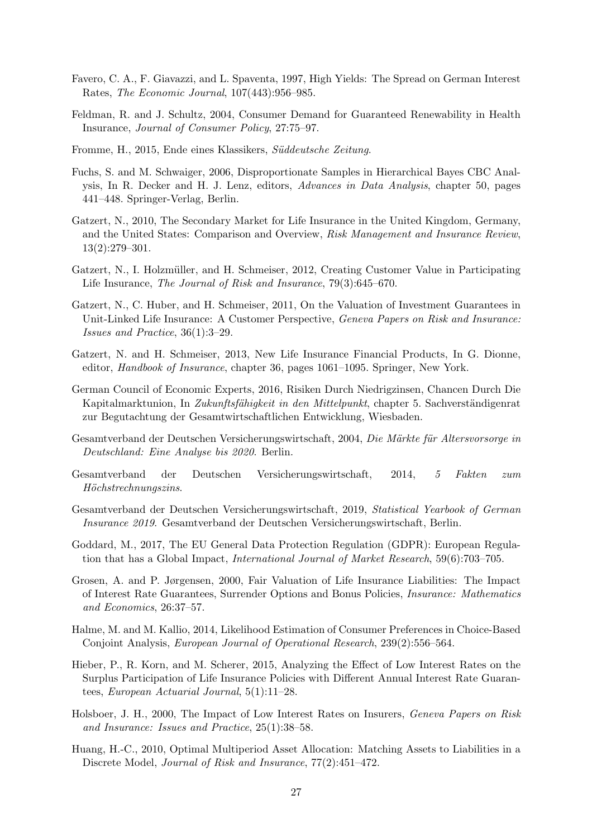- <span id="page-26-13"></span>Favero, C. A., F. Giavazzi, and L. Spaventa, 1997, High Yields: The Spread on German Interest Rates, The Economic Journal, 107(443):956–985.
- <span id="page-26-5"></span>Feldman, R. and J. Schultz, 2004, Consumer Demand for Guaranteed Renewability in Health Insurance, Journal of Consumer Policy, 27:75–97.
- <span id="page-26-6"></span>Fromme, H., 2015, Ende eines Klassikers, Süddeutsche Zeitung.
- <span id="page-26-17"></span>Fuchs, S. and M. Schwaiger, 2006, Disproportionate Samples in Hierarchical Bayes CBC Analysis, In R. Decker and H. J. Lenz, editors, Advances in Data Analysis, chapter 50, pages 441–448. Springer-Verlag, Berlin.
- <span id="page-26-2"></span>Gatzert, N., 2010, The Secondary Market for Life Insurance in the United Kingdom, Germany, and the United States: Comparison and Overview, Risk Management and Insurance Review, 13(2):279–301.
- <span id="page-26-7"></span>Gatzert, N., I. Holzmüller, and H. Schmeiser, 2012, Creating Customer Value in Participating Life Insurance, The Journal of Risk and Insurance, 79(3):645–670.
- <span id="page-26-8"></span>Gatzert, N., C. Huber, and H. Schmeiser, 2011, On the Valuation of Investment Guarantees in Unit-Linked Life Insurance: A Customer Perspective, Geneva Papers on Risk and Insurance: Issues and Practice, 36(1):3–29.
- <span id="page-26-3"></span>Gatzert, N. and H. Schmeiser, 2013, New Life Insurance Financial Products, In G. Dionne, editor, Handbook of Insurance, chapter 36, pages 1061–1095. Springer, New York.
- <span id="page-26-15"></span>German Council of Economic Experts, 2016, Risiken Durch Niedrigzinsen, Chancen Durch Die Kapitalmarktunion, In Zukunftsfähigkeit in den Mittelpunkt, chapter 5. Sachverständigenrat zur Begutachtung der Gesamtwirtschaftlichen Entwicklung, Wiesbaden.
- <span id="page-26-10"></span>Gesamtverband der Deutschen Versicherungswirtschaft, 2004, Die Märkte für Altersvorsorge in Deutschland: Eine Analyse bis 2020. Berlin.
- <span id="page-26-14"></span>Gesamtverband der Deutschen Versicherungswirtschaft, 2014, 5 Fakten zum Höchstrechnungszins.
- <span id="page-26-9"></span>Gesamtverband der Deutschen Versicherungswirtschaft, 2019, Statistical Yearbook of German Insurance 2019. Gesamtverband der Deutschen Versicherungswirtschaft, Berlin.
- <span id="page-26-11"></span>Goddard, M., 2017, The EU General Data Protection Regulation (GDPR): European Regulation that has a Global Impact, International Journal of Market Research, 59(6):703–705.
- <span id="page-26-1"></span>Grosen, A. and P. Jørgensen, 2000, Fair Valuation of Life Insurance Liabilities: The Impact of Interest Rate Guarantees, Surrender Options and Bonus Policies, Insurance: Mathematics and Economics, 26:37–57.
- <span id="page-26-16"></span>Halme, M. and M. Kallio, 2014, Likelihood Estimation of Consumer Preferences in Choice-Based Conjoint Analysis, European Journal of Operational Research, 239(2):556–564.
- <span id="page-26-12"></span>Hieber, P., R. Korn, and M. Scherer, 2015, Analyzing the Effect of Low Interest Rates on the Surplus Participation of Life Insurance Policies with Different Annual Interest Rate Guarantees, European Actuarial Journal, 5(1):11–28.
- <span id="page-26-0"></span>Holsboer, J. H., 2000, The Impact of Low Interest Rates on Insurers, Geneva Papers on Risk and Insurance: Issues and Practice, 25(1):38–58.
- <span id="page-26-4"></span>Huang, H.-C., 2010, Optimal Multiperiod Asset Allocation: Matching Assets to Liabilities in a Discrete Model, *Journal of Risk and Insurance*,  $77(2):451-472$ .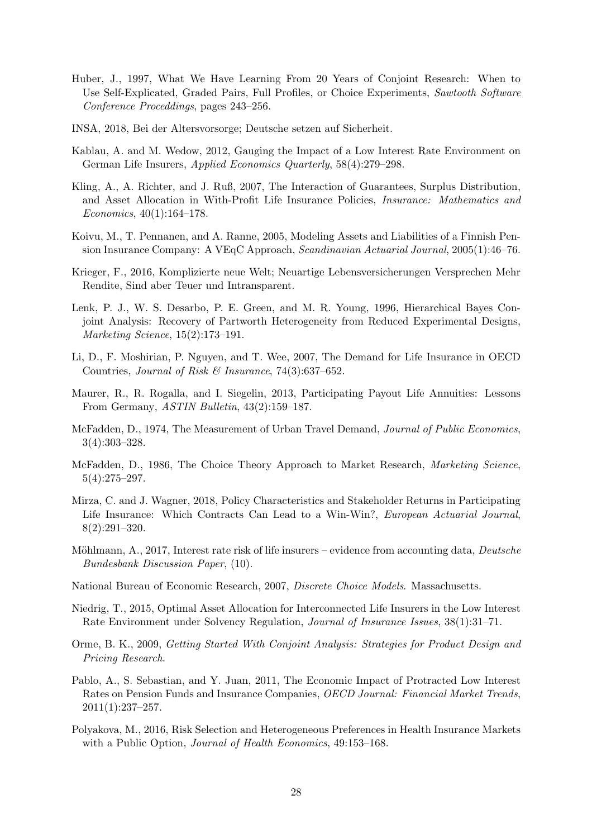- <span id="page-27-9"></span>Huber, J., 1997, What We Have Learning From 20 Years of Conjoint Research: When to Use Self-Explicated, Graded Pairs, Full Profiles, or Choice Experiments, Sawtooth Software Conference Proceddings, pages 243–256.
- <span id="page-27-17"></span>INSA, 2018, Bei der Altersvorsorge; Deutsche setzen auf Sicherheit.
- <span id="page-27-6"></span>Kablau, A. and M. Wedow, 2012, Gauging the Impact of a Low Interest Rate Environment on German Life Insurers, Applied Economics Quarterly, 58(4):279–298.
- <span id="page-27-5"></span>Kling, A., A. Richter, and J. Ruß, 2007, The Interaction of Guarantees, Surplus Distribution, and Asset Allocation in With-Profit Life Insurance Policies, Insurance: Mathematics and Economics, 40(1):164–178.
- <span id="page-27-11"></span>Koivu, M., T. Pennanen, and A. Ranne, 2005, Modeling Assets and Liabilities of a Finnish Pension Insurance Company: A VEqC Approach, Scandinavian Actuarial Journal, 2005(1):46–76.
- <span id="page-27-7"></span>Krieger, F., 2016, Komplizierte neue Welt; Neuartige Lebensversicherungen Versprechen Mehr Rendite, Sind aber Teuer und Intransparent.
- <span id="page-27-12"></span>Lenk, P. J., W. S. Desarbo, P. E. Green, and M. R. Young, 1996, Hierarchical Bayes Conjoint Analysis: Recovery of Partworth Heterogeneity from Reduced Experimental Designs, Marketing Science, 15(2):173–191.
- <span id="page-27-0"></span>Li, D., F. Moshirian, P. Nguyen, and T. Wee, 2007, The Demand for Life Insurance in OECD Countries, Journal of Risk & Insurance,  $74(3):637-652$ .
- <span id="page-27-3"></span>Maurer, R., R. Rogalla, and I. Siegelin, 2013, Participating Payout Life Annuities: Lessons From Germany, ASTIN Bulletin, 43(2):159–187.
- <span id="page-27-13"></span>McFadden, D., 1974, The Measurement of Urban Travel Demand, Journal of Public Economics, 3(4):303–328.
- <span id="page-27-14"></span>McFadden, D., 1986, The Choice Theory Approach to Market Research, Marketing Science, 5(4):275–297.
- <span id="page-27-8"></span>Mirza, C. and J. Wagner, 2018, Policy Characteristics and Stakeholder Returns in Participating Life Insurance: Which Contracts Can Lead to a Win-Win?, European Actuarial Journal, 8(2):291–320.
- <span id="page-27-4"></span>Möhlmann, A., 2017, Interest rate risk of life insurers – evidence from accounting data, *Deutsche* Bundesbank Discussion Paper, (10).
- <span id="page-27-15"></span>National Bureau of Economic Research, 2007, Discrete Choice Models. Massachusetts.
- <span id="page-27-2"></span>Niedrig, T., 2015, Optimal Asset Allocation for Interconnected Life Insurers in the Low Interest Rate Environment under Solvency Regulation, Journal of Insurance Issues, 38(1):31–71.
- <span id="page-27-10"></span>Orme, B. K., 2009, Getting Started With Conjoint Analysis: Strategies for Product Design and Pricing Research.
- <span id="page-27-1"></span>Pablo, A., S. Sebastian, and Y. Juan, 2011, The Economic Impact of Protracted Low Interest Rates on Pension Funds and Insurance Companies, OECD Journal: Financial Market Trends,  $2011(1):237-257.$
- <span id="page-27-16"></span>Polyakova, M., 2016, Risk Selection and Heterogeneous Preferences in Health Insurance Markets with a Public Option, *Journal of Health Economics*, 49:153-168.